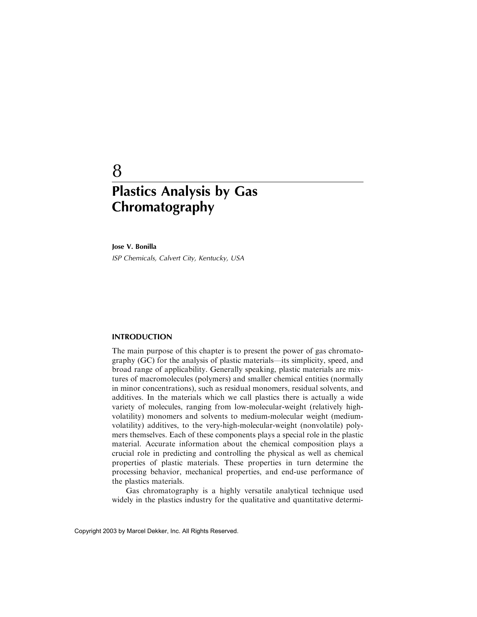# 8 Plastics Analysis by Gas Chromatography

#### Jose V. Bonilla

ISP Chemicals, Calvert City, Kentucky, USA

#### INTRODUCTION

The main purpose of this chapter is to present the power of gas chromatography (GC) for the analysis of plastic materials—its simplicity, speed, and broad range of applicability. Generally speaking, plastic materials are mixtures of macromolecules (polymers) and smaller chemical entities (normally in minor concentrations), such as residual monomers, residual solvents, and additives. In the materials which we call plastics there is actually a wide variety of molecules, ranging from low-molecular-weight (relatively highvolatility) monomers and solvents to medium-molecular weight (mediumvolatility) additives, to the very-high-molecular-weight (nonvolatile) polymers themselves. Each of these components plays a special role in the plastic material. Accurate information about the chemical composition plays a crucial role in predicting and controlling the physical as well as chemical properties of plastic materials. These properties in turn determine the processing behavior, mechanical properties, and end-use performance of the plastics materials.

Gas chromatography is a highly versatile analytical technique used widely in the plastics industry for the qualitative and quantitative determi-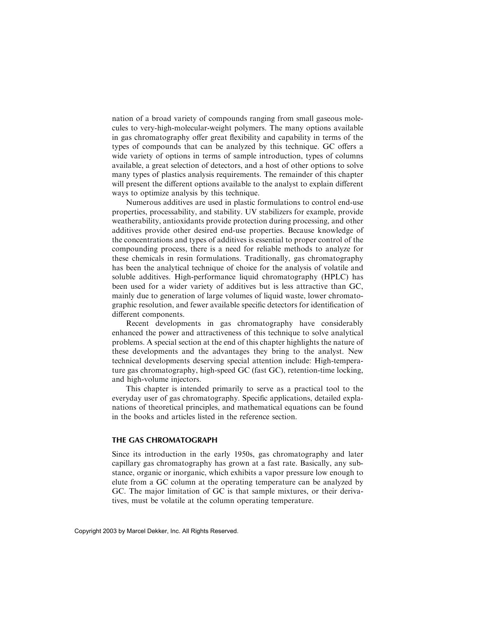nation of a broad variety of compounds ranging from small gaseous molecules to very-high-molecular-weight polymers. The many options available in gas chromatography offer great flexibility and capability in terms of the types of compounds that can be analyzed by this technique. GC offers a wide variety of options in terms of sample introduction, types of columns available, a great selection of detectors, and a host of other options to solve many types of plastics analysis requirements. The remainder of this chapter will present the different options available to the analyst to explain different ways to optimize analysis by this technique.

Numerous additives are used in plastic formulations to control end-use properties, processability, and stability. UV stabilizers for example, provide weatherability, antioxidants provide protection during processing, and other additives provide other desired end-use properties. Because knowledge of the concentrations and types of additives is essential to proper control of the compounding process, there is a need for reliable methods to analyze for these chemicals in resin formulations. Traditionally, gas chromatography has been the analytical technique of choice for the analysis of volatile and soluble additives. High-performance liquid chromatography (HPLC) has been used for a wider variety of additives but is less attractive than GC, mainly due to generation of large volumes of liquid waste, lower chromatographic resolution, and fewer available specific detectors for identification of different components.

Recent developments in gas chromatography have considerably enhanced the power and attractiveness of this technique to solve analytical problems. A special section at the end of this chapter highlights the nature of these developments and the advantages they bring to the analyst. New technical developments deserving special attention include: High-temperature gas chromatography, high-speed GC (fast GC), retention-time locking, and high-volume injectors.

This chapter is intended primarily to serve as a practical tool to the everyday user of gas chromatography. Specific applications, detailed explanations of theoretical principles, and mathematical equations can be found in the books and articles listed in the reference section.

#### THE GAS CHROMATOGRAPH

Since its introduction in the early 1950s, gas chromatography and later capillary gas chromatography has grown at a fast rate. Basically, any substance, organic or inorganic, which exhibits a vapor pressure low enough to elute from a GC column at the operating temperature can be analyzed by GC. The major limitation of GC is that sample mixtures, or their derivatives, must be volatile at the column operating temperature.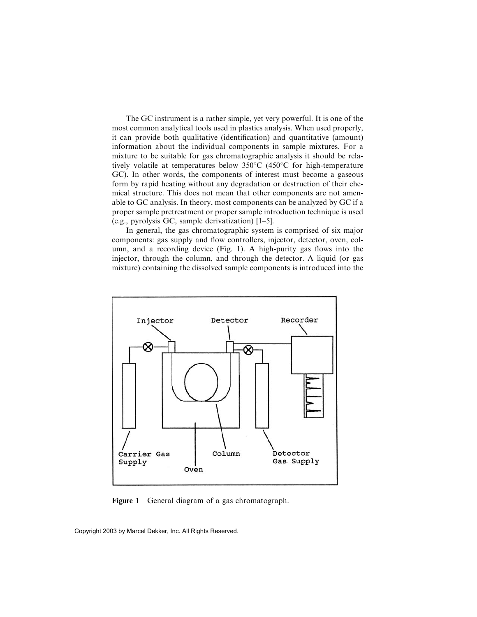The GC instrument is a rather simple, yet very powerful. It is one of the most common analytical tools used in plastics analysis. When used properly, it can provide both qualitative (identification) and quantitative (amount) information about the individual components in sample mixtures. For a mixture to be suitable for gas chromatographic analysis it should be relatively volatile at temperatures below  $350^{\circ}$ C (450 $^{\circ}$ C for high-temperature GC). In other words, the components of interest must become a gaseous form by rapid heating without any degradation or destruction of their chemical structure. This does not mean that other components are not amenable to GC analysis. In theory, most components can be analyzed by GC if a proper sample pretreatment or proper sample introduction technique is used (e.g., pyrolysis GC, sample derivatization) [1–5].

In general, the gas chromatographic system is comprised of six major components: gas supply and flow controllers, injector, detector, oven, column, and a recording device (Fig. 1). A high-purity gas flows into the injector, through the column, and through the detector. A liquid (or gas mixture) containing the dissolved sample components is introduced into the



Figure 1 General diagram of a gas chromatograph.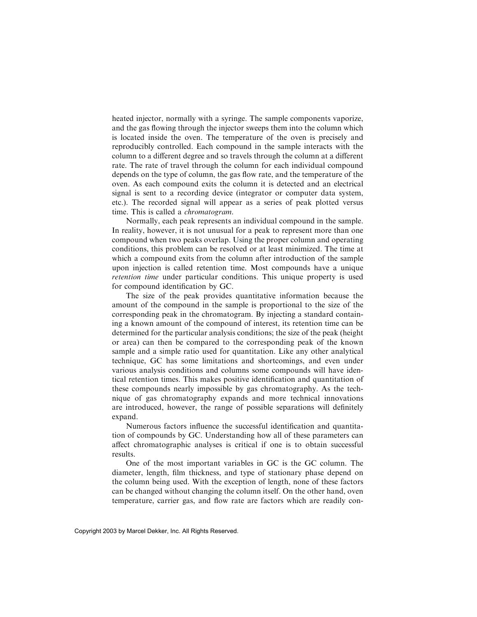heated injector, normally with a syringe. The sample components vaporize, and the gas flowing through the injector sweeps them into the column which is located inside the oven. The temperature of the oven is precisely and reproducibly controlled. Each compound in the sample interacts with the column to a different degree and so travels through the column at a different rate. The rate of travel through the column for each individual compound depends on the type of column, the gas flow rate, and the temperature of the oven. As each compound exits the column it is detected and an electrical signal is sent to a recording device (integrator or computer data system, etc.). The recorded signal will appear as a series of peak plotted versus time. This is called a *chromatogram*.

Normally, each peak represents an individual compound in the sample. In reality, however, it is not unusual for a peak to represent more than one compound when two peaks overlap. Using the proper column and operating conditions, this problem can be resolved or at least minimized. The time at which a compound exits from the column after introduction of the sample upon injection is called retention time. Most compounds have a unique retention time under particular conditions. This unique property is used for compound identification by GC.

The size of the peak provides quantitative information because the amount of the compound in the sample is proportional to the size of the corresponding peak in the chromatogram. By injecting a standard containing a known amount of the compound of interest, its retention time can be determined for the particular analysis conditions; the size of the peak (height or area) can then be compared to the corresponding peak of the known sample and a simple ratio used for quantitation. Like any other analytical technique, GC has some limitations and shortcomings, and even under various analysis conditions and columns some compounds will have identical retention times. This makes positive identification and quantitation of these compounds nearly impossible by gas chromatography. As the technique of gas chromatography expands and more technical innovations are introduced, however, the range of possible separations will definitely expand.

Numerous factors influence the successful identification and quantitation of compounds by GC. Understanding how all of these parameters can affect chromatographic analyses is critical if one is to obtain successful results.

One of the most important variables in GC is the GC column. The diameter, length, film thickness, and type of stationary phase depend on the column being used. With the exception of length, none of these factors can be changed without changing the column itself. On the other hand, oven temperature, carrier gas, and flow rate are factors which are readily con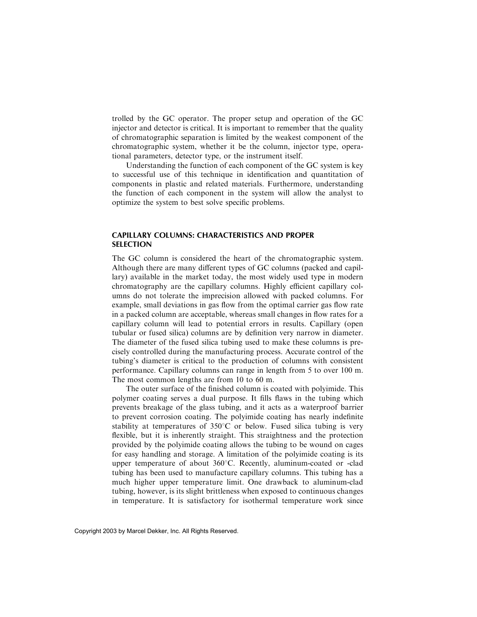trolled by the GC operator. The proper setup and operation of the GC injector and detector is critical. It is important to remember that the quality of chromatographic separation is limited by the weakest component of the chromatographic system, whether it be the column, injector type, operational parameters, detector type, or the instrument itself.

Understanding the function of each component of the GC system is key to successful use of this technique in identification and quantitation of components in plastic and related materials. Furthermore, understanding the function of each component in the system will allow the analyst to optimize the system to best solve specific problems.

#### CAPILLARY COLUMNS: CHARACTERISTICS AND PROPER **SELECTION**

The GC column is considered the heart of the chromatographic system. Although there are many different types of GC columns (packed and capillary) available in the market today, the most widely used type in modern chromatography are the capillary columns. Highly efficient capillary columns do not tolerate the imprecision allowed with packed columns. For example, small deviations in gas flow from the optimal carrier gas flow rate in a packed column are acceptable, whereas small changes in flow rates for a capillary column will lead to potential errors in results. Capillary (open tubular or fused silica) columns are by definition very narrow in diameter. The diameter of the fused silica tubing used to make these columns is precisely controlled during the manufacturing process. Accurate control of the tubing's diameter is critical to the production of columns with consistent performance. Capillary columns can range in length from 5 to over 100 m. The most common lengths are from 10 to 60 m.

The outer surface of the finished column is coated with polyimide. This polymer coating serves a dual purpose. It fills flaws in the tubing which prevents breakage of the glass tubing, and it acts as a waterproof barrier to prevent corrosion coating. The polyimide coating has nearly indefinite stability at temperatures of  $350^{\circ}$ C or below. Fused silica tubing is very flexible, but it is inherently straight. This straightness and the protection provided by the polyimide coating allows the tubing to be wound on cages for easy handling and storage. A limitation of the polyimide coating is its upper temperature of about  $360^{\circ}$ C. Recently, aluminum-coated or -clad tubing has been used to manufacture capillary columns. This tubing has a much higher upper temperature limit. One drawback to aluminum-clad tubing, however, is its slight brittleness when exposed to continuous changes in temperature. It is satisfactory for isothermal temperature work since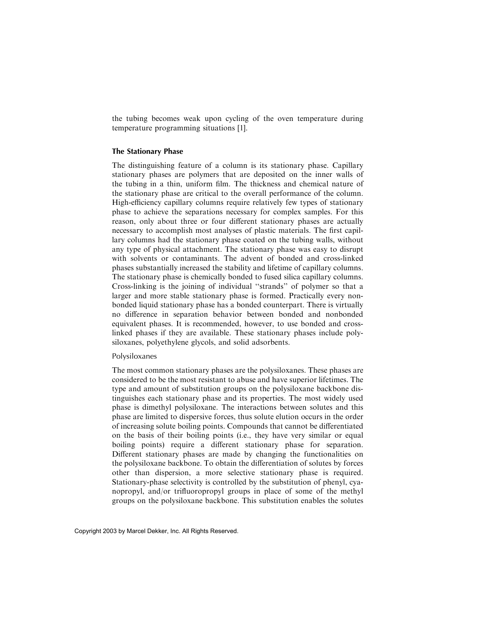the tubing becomes weak upon cycling of the oven temperature during temperature programming situations [1].

#### The Stationary Phase

The distinguishing feature of a column is its stationary phase. Capillary stationary phases are polymers that are deposited on the inner walls of the tubing in a thin, uniform film. The thickness and chemical nature of the stationary phase are critical to the overall performance of the column. High-efficiency capillary columns require relatively few types of stationary phase to achieve the separations necessary for complex samples. For this reason, only about three or four different stationary phases are actually necessary to accomplish most analyses of plastic materials. The first capillary columns had the stationary phase coated on the tubing walls, without any type of physical attachment. The stationary phase was easy to disrupt with solvents or contaminants. The advent of bonded and cross-linked phases substantially increased the stability and lifetime of capillary columns. The stationary phase is chemically bonded to fused silica capillary columns. Cross-linking is the joining of individual ''strands'' of polymer so that a larger and more stable stationary phase is formed. Practically every nonbonded liquid stationary phase has a bonded counterpart. There is virtually no difference in separation behavior between bonded and nonbonded equivalent phases. It is recommended, however, to use bonded and crosslinked phases if they are available. These stationary phases include polysiloxanes, polyethylene glycols, and solid adsorbents.

## Polysiloxanes

The most common stationary phases are the polysiloxanes. These phases are considered to be the most resistant to abuse and have superior lifetimes. The type and amount of substitution groups on the polysiloxane backbone distinguishes each stationary phase and its properties. The most widely used phase is dimethyl polysiloxane. The interactions between solutes and this phase are limited to dispersive forces, thus solute elution occurs in the order of increasing solute boiling points. Compounds that cannot be differentiated on the basis of their boiling points (i.e., they have very similar or equal boiling points) require a different stationary phase for separation. Different stationary phases are made by changing the functionalities on the polysiloxane backbone. To obtain the differentiation of solutes by forces other than dispersion, a more selective stationary phase is required. Stationary-phase selectivity is controlled by the substitution of phenyl, cyanopropyl, and/or trifluoropropyl groups in place of some of the methyl groups on the polysiloxane backbone. This substitution enables the solutes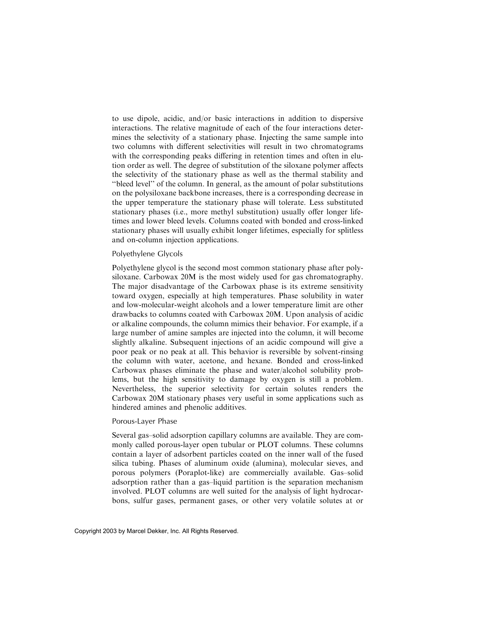to use dipole, acidic, and/or basic interactions in addition to dispersive interactions. The relative magnitude of each of the four interactions determines the selectivity of a stationary phase. Injecting the same sample into two columns with different selectivities will result in two chromatograms with the corresponding peaks differing in retention times and often in elution order as well. The degree of substitution of the siloxane polymer affects the selectivity of the stationary phase as well as the thermal stability and ''bleed level'' of the column. In general, as the amount of polar substitutions on the polysiloxane backbone increases, there is a corresponding decrease in the upper temperature the stationary phase will tolerate. Less substituted stationary phases (i.e., more methyl substitution) usually offer longer lifetimes and lower bleed levels. Columns coated with bonded and cross-linked stationary phases will usually exhibit longer lifetimes, especially for splitless and on-column injection applications.

#### Polyethylene Glycols

Polyethylene glycol is the second most common stationary phase after polysiloxane. Carbowax 20M is the most widely used for gas chromatography. The major disadvantage of the Carbowax phase is its extreme sensitivity toward oxygen, especially at high temperatures. Phase solubility in water and low-molecular-weight alcohols and a lower temperature limit are other drawbacks to columns coated with Carbowax 20M. Upon analysis of acidic or alkaline compounds, the column mimics their behavior. For example, if a large number of amine samples are injected into the column, it will become slightly alkaline. Subsequent injections of an acidic compound will give a poor peak or no peak at all. This behavior is reversible by solvent-rinsing the column with water, acetone, and hexane. Bonded and cross-linked Carbowax phases eliminate the phase and water/alcohol solubility problems, but the high sensitivity to damage by oxygen is still a problem. Nevertheless, the superior selectivity for certain solutes renders the Carbowax 20M stationary phases very useful in some applications such as hindered amines and phenolic additives.

#### Porous-Layer Phase

Several gas–solid adsorption capillary columns are available. They are commonly called porous-layer open tubular or PLOT columns. These columns contain a layer of adsorbent particles coated on the inner wall of the fused silica tubing. Phases of aluminum oxide (alumina), molecular sieves, and porous polymers (Poraplot-like) are commercially available. Gas–solid adsorption rather than a gas–liquid partition is the separation mechanism involved. PLOT columns are well suited for the analysis of light hydrocarbons, sulfur gases, permanent gases, or other very volatile solutes at or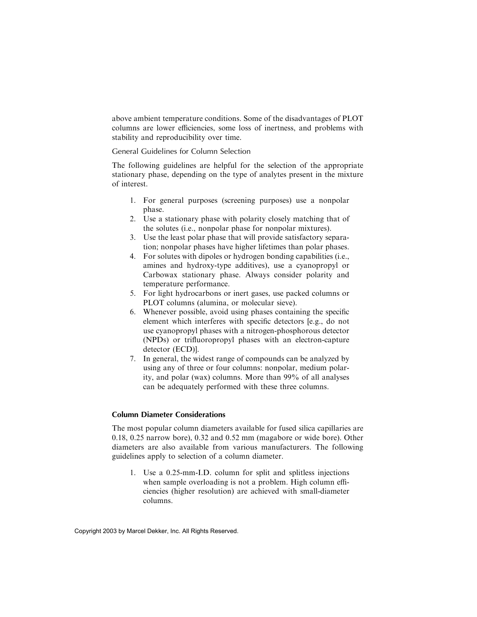above ambient temperature conditions. Some of the disadvantages of PLOT columns are lower efficiencies, some loss of inertness, and problems with stability and reproducibility over time.

General Guidelines for Column Selection

The following guidelines are helpful for the selection of the appropriate stationary phase, depending on the type of analytes present in the mixture of interest.

- 1. For general purposes (screening purposes) use a nonpolar phase.
- 2. Use a stationary phase with polarity closely matching that of the solutes (i.e., nonpolar phase for nonpolar mixtures).
- 3. Use the least polar phase that will provide satisfactory separation; nonpolar phases have higher lifetimes than polar phases.
- 4. For solutes with dipoles or hydrogen bonding capabilities (i.e., amines and hydroxy-type additives), use a cyanopropyl or Carbowax stationary phase. Always consider polarity and temperature performance.
- 5. For light hydrocarbons or inert gases, use packed columns or PLOT columns (alumina, or molecular sieve).
- 6. Whenever possible, avoid using phases containing the specific element which interferes with specific detectors [e.g., do not use cyanopropyl phases with a nitrogen-phosphorous detector (NPDs) or trifluoropropyl phases with an electron-capture detector (ECD)].
- 7. In general, the widest range of compounds can be analyzed by using any of three or four columns: nonpolar, medium polarity, and polar (wax) columns. More than 99% of all analyses can be adequately performed with these three columns.

# Column Diameter Considerations

The most popular column diameters available for fused silica capillaries are 0.18, 0.25 narrow bore), 0.32 and 0.52 mm (magabore or wide bore). Other diameters are also available from various manufacturers. The following guidelines apply to selection of a column diameter.

1. Use a 0.25-mm-I.D. column for split and splitless injections when sample overloading is not a problem. High column efficiencies (higher resolution) are achieved with small-diameter columns.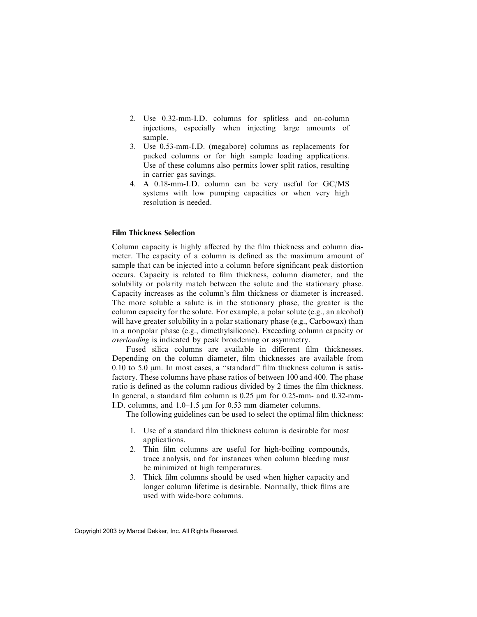- 2. Use 0.32-mm-I.D. columns for splitless and on-column injections, especially when injecting large amounts of sample.
- 3. Use 0.53-mm-I.D. (megabore) columns as replacements for packed columns or for high sample loading applications. Use of these columns also permits lower split ratios, resulting in carrier gas savings.
- 4. A 0.18-mm-I.D. column can be very useful for GC/MS systems with low pumping capacities or when very high resolution is needed.

#### Film Thickness Selection

Column capacity is highly affected by the film thickness and column diameter. The capacity of a column is defined as the maximum amount of sample that can be injected into a column before significant peak distortion occurs. Capacity is related to film thickness, column diameter, and the solubility or polarity match between the solute and the stationary phase. Capacity increases as the column's film thickness or diameter is increased. The more soluble a salute is in the stationary phase, the greater is the column capacity for the solute. For example, a polar solute (e.g., an alcohol) will have greater solubility in a polar stationary phase (e.g., Carbowax) than in a nonpolar phase (e.g., dimethylsilicone). Exceeding column capacity or overloading is indicated by peak broadening or asymmetry.

Fused silica columns are available in different film thicknesses. Depending on the column diameter, film thicknesses are available from  $0.10$  to  $5.0$  µm. In most cases, a "standard" film thickness column is satisfactory. These columns have phase ratios of between 100 and 400. The phase ratio is defined as the column radious divided by 2 times the film thickness. In general, a standard film column is  $0.25 \mu m$  for  $0.25 \mu m$ - and  $0.32 \mu m$ -I.D. columns, and 1.0–1.5 µm for 0.53 mm diameter columns.

The following guidelines can be used to select the optimal film thickness:

- 1. Use of a standard film thickness column is desirable for most applications.
- 2. Thin film columns are useful for high-boiling compounds, trace analysis, and for instances when column bleeding must be minimized at high temperatures.
- 3. Thick film columns should be used when higher capacity and longer column lifetime is desirable. Normally, thick films are used with wide-bore columns.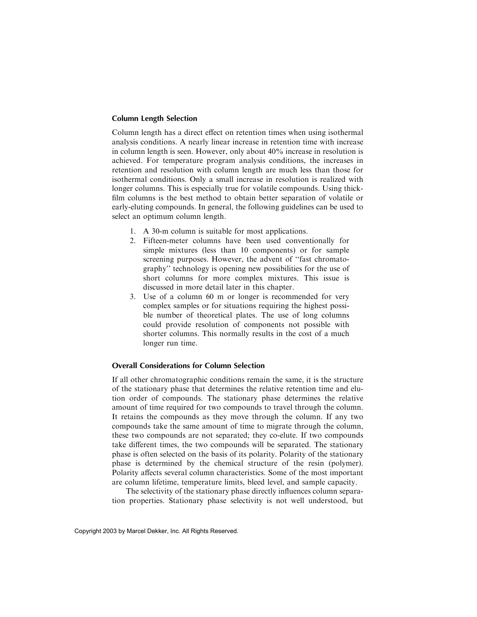# Column Length Selection

Column length has a direct effect on retention times when using isothermal analysis conditions. A nearly linear increase in retention time with increase in column length is seen. However, only about 40% increase in resolution is achieved. For temperature program analysis conditions, the increases in retention and resolution with column length are much less than those for isothermal conditions. Only a small increase in resolution is realized with longer columns. This is especially true for volatile compounds. Using thickfilm columns is the best method to obtain better separation of volatile or early-eluting compounds. In general, the following guidelines can be used to select an optimum column length.

- 1. A 30-m column is suitable for most applications.
- 2. Fifteen-meter columns have been used conventionally for simple mixtures (less than 10 components) or for sample screening purposes. However, the advent of ''fast chromatography'' technology is opening new possibilities for the use of short columns for more complex mixtures. This issue is discussed in more detail later in this chapter.
- 3. Use of a column 60 m or longer is recommended for very complex samples or for situations requiring the highest possible number of theoretical plates. The use of long columns could provide resolution of components not possible with shorter columns. This normally results in the cost of a much longer run time.

# Overall Considerations for Column Selection

If all other chromatographic conditions remain the same, it is the structure of the stationary phase that determines the relative retention time and elution order of compounds. The stationary phase determines the relative amount of time required for two compounds to travel through the column. It retains the compounds as they move through the column. If any two compounds take the same amount of time to migrate through the column, these two compounds are not separated; they co-elute. If two compounds take different times, the two compounds will be separated. The stationary phase is often selected on the basis of its polarity. Polarity of the stationary phase is determined by the chemical structure of the resin (polymer). Polarity affects several column characteristics. Some of the most important are column lifetime, temperature limits, bleed level, and sample capacity.

The selectivity of the stationary phase directly influences column separation properties. Stationary phase selectivity is not well understood, but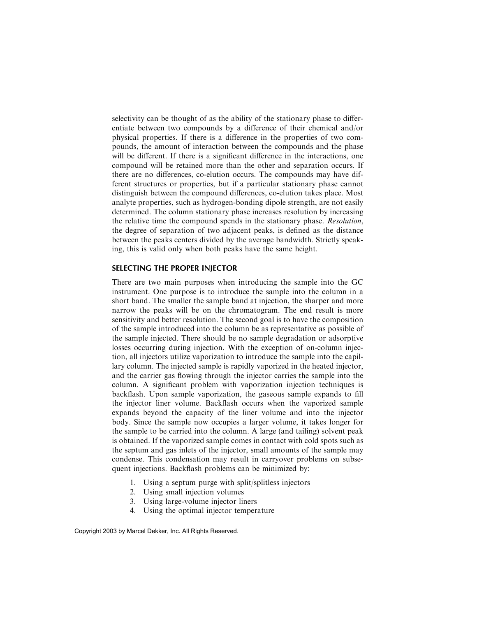selectivity can be thought of as the ability of the stationary phase to differentiate between two compounds by a difference of their chemical and/or physical properties. If there is a difference in the properties of two compounds, the amount of interaction between the compounds and the phase will be different. If there is a significant difference in the interactions, one compound will be retained more than the other and separation occurs. If there are no differences, co-elution occurs. The compounds may have different structures or properties, but if a particular stationary phase cannot distinguish between the compound differences, co-elution takes place. Most analyte properties, such as hydrogen-bonding dipole strength, are not easily determined. The column stationary phase increases resolution by increasing the relative time the compound spends in the stationary phase. Resolution, the degree of separation of two adjacent peaks, is defined as the distance between the peaks centers divided by the average bandwidth. Strictly speaking, this is valid only when both peaks have the same height.

## SELECTING THE PROPER INJECTOR

There are two main purposes when introducing the sample into the GC instrument. One purpose is to introduce the sample into the column in a short band. The smaller the sample band at injection, the sharper and more narrow the peaks will be on the chromatogram. The end result is more sensitivity and better resolution. The second goal is to have the composition of the sample introduced into the column be as representative as possible of the sample injected. There should be no sample degradation or adsorptive losses occurring during injection. With the exception of on-column injection, all injectors utilize vaporization to introduce the sample into the capillary column. The injected sample is rapidly vaporized in the heated injector, and the carrier gas flowing through the injector carries the sample into the column. A significant problem with vaporization injection techniques is backflash. Upon sample vaporization, the gaseous sample expands to fill the injector liner volume. Backflash occurs when the vaporized sample expands beyond the capacity of the liner volume and into the injector body. Since the sample now occupies a larger volume, it takes longer for the sample to be carried into the column. A large (and tailing) solvent peak is obtained. If the vaporized sample comes in contact with cold spots such as the septum and gas inlets of the injector, small amounts of the sample may condense. This condensation may result in carryover problems on subsequent injections. Backflash problems can be minimized by:

- 1. Using a septum purge with split/splitless injectors
- 2. Using small injection volumes
- 3. Using large-volume injector liners
- 4. Using the optimal injector temperature

Copyright 2003 by Marcel Dekker, Inc. All Rights Reserved.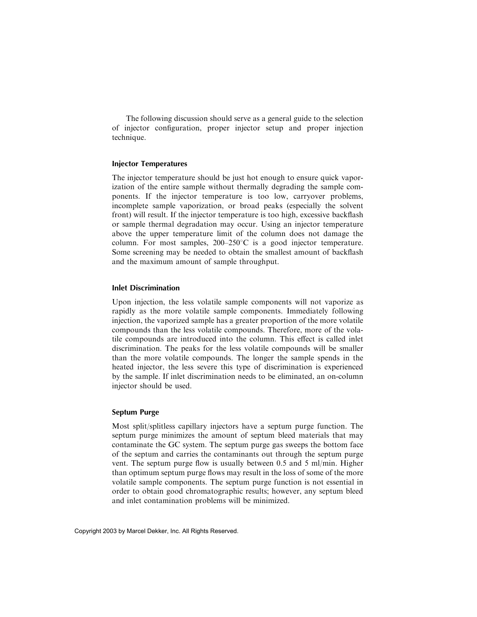The following discussion should serve as a general guide to the selection of injector configuration, proper injector setup and proper injection technique.

#### Injector Temperatures

The injector temperature should be just hot enough to ensure quick vaporization of the entire sample without thermally degrading the sample components. If the injector temperature is too low, carryover problems, incomplete sample vaporization, or broad peaks (especially the solvent front) will result. If the injector temperature is too high, excessive backflash or sample thermal degradation may occur. Using an injector temperature above the upper temperature limit of the column does not damage the column. For most samples,  $200-250^{\circ}$ C is a good injector temperature. Some screening may be needed to obtain the smallest amount of backflash and the maximum amount of sample throughput.

#### Inlet Discrimination

Upon injection, the less volatile sample components will not vaporize as rapidly as the more volatile sample components. Immediately following injection, the vaporized sample has a greater proportion of the more volatile compounds than the less volatile compounds. Therefore, more of the volatile compounds are introduced into the column. This effect is called inlet discrimination. The peaks for the less volatile compounds will be smaller than the more volatile compounds. The longer the sample spends in the heated injector, the less severe this type of discrimination is experienced by the sample. If inlet discrimination needs to be eliminated, an on-column injector should be used.

#### Septum Purge

Most split/splitless capillary injectors have a septum purge function. The septum purge minimizes the amount of septum bleed materials that may contaminate the GC system. The septum purge gas sweeps the bottom face of the septum and carries the contaminants out through the septum purge vent. The septum purge flow is usually between 0.5 and 5 ml/min. Higher than optimum septum purge flows may result in the loss of some of the more volatile sample components. The septum purge function is not essential in order to obtain good chromatographic results; however, any septum bleed and inlet contamination problems will be minimized.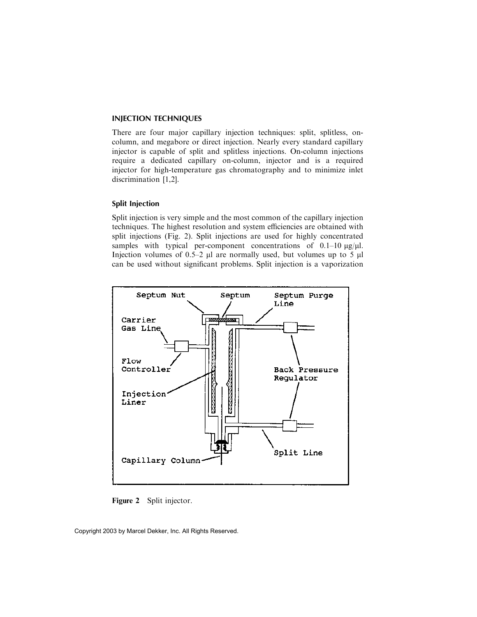# <span id="page-12-0"></span>INJECTION TECHNIQUES

There are four major capillary injection techniques: split, splitless, oncolumn, and megabore or direct injection. Nearly every standard capillary injector is capable of split and splitless injections. On-column injections require a dedicated capillary on-column, injector and is a required injector for high-temperature gas chromatography and to minimize inlet discrimination [1,2].

# Split Injection

Split injection is very simple and the most common of the capillary injection techniques. The highest resolution and system efficiencies are obtained with split injections (Fig. 2). Split injections are used for highly concentrated samples with typical per-component concentrations of  $0.1-10 \text{ ug}/\text{u}$ . Injection volumes of  $0.5-2$  µl are normally used, but volumes up to 5 µl can be used without significant problems. Split injection is a vaporization



Figure 2 Split injector.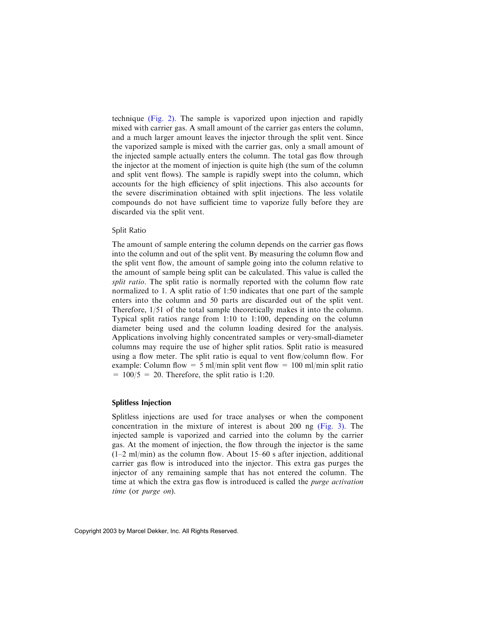technique [\(Fig. 2\).](#page-12-0) The sample is vaporized upon injection and rapidly mixed with carrier gas. A small amount of the carrier gas enters the column, and a much larger amount leaves the injector through the split vent. Since the vaporized sample is mixed with the carrier gas, only a small amount of the injected sample actually enters the column. The total gas flow through the injector at the moment of injection is quite high (the sum of the column and split vent flows). The sample is rapidly swept into the column, which accounts for the high efficiency of split injections. This also accounts for the severe discrimination obtained with split injections. The less volatile compounds do not have sufficient time to vaporize fully before they are discarded via the split vent.

#### Split Ratio

The amount of sample entering the column depends on the carrier gas flows into the column and out of the split vent. By measuring the column flow and the split vent flow, the amount of sample going into the column relative to the amount of sample being split can be calculated. This value is called the split ratio. The split ratio is normally reported with the column flow rate normalized to 1. A split ratio of 1:50 indicates that one part of the sample enters into the column and 50 parts are discarded out of the split vent. Therefore, 1/51 of the total sample theoretically makes it into the column. Typical split ratios range from 1:10 to 1:100, depending on the column diameter being used and the column loading desired for the analysis. Applications involving highly concentrated samples or very-small-diameter columns may require the use of higher split ratios. Split ratio is measured using a flow meter. The split ratio is equal to vent flow/column flow. For example: Column flow = 5 ml/min split vent flow = 100 ml/min split ratio  $= 100/5 = 20$ . Therefore, the split ratio is 1:20.

## Splitless Injection

Splitless injections are used for trace analyses or when the component concentration in the mixture of interest is about 200 ng [\(Fig. 3\)](#page-14-0). The injected sample is vaporized and carried into the column by the carrier gas. At the moment of injection, the flow through the injector is the same  $(1-2 \text{ ml/min})$  as the column flow. About 15–60 s after injection, additional carrier gas flow is introduced into the injector. This extra gas purges the injector of any remaining sample that has not entered the column. The time at which the extra gas flow is introduced is called the *purge activation* time (or purge on).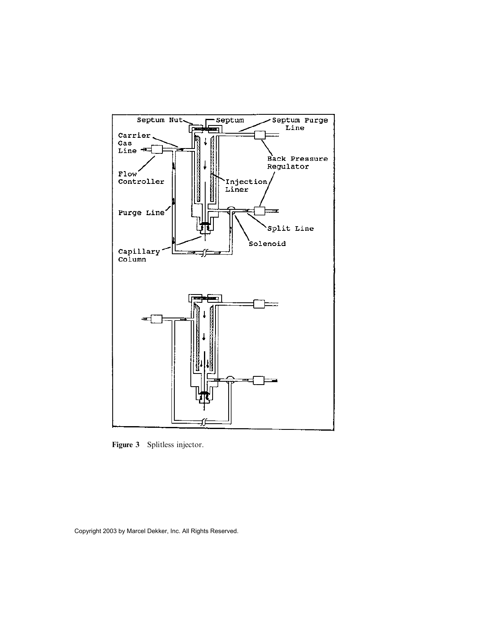<span id="page-14-0"></span>

Figure 3 Splitless injector.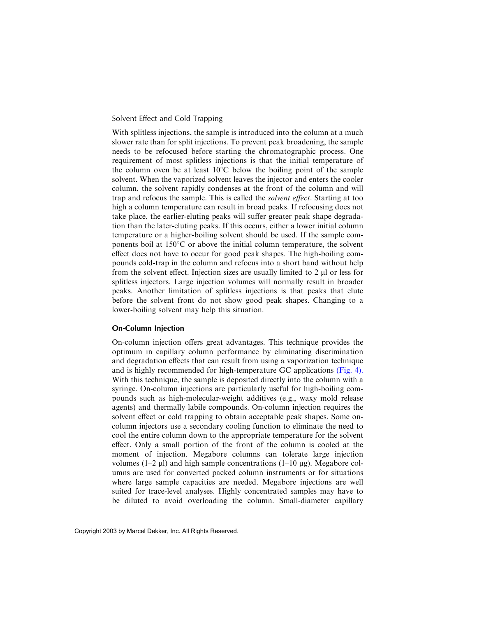# Solvent Effect and Cold Trapping

With splitless injections, the sample is introduced into the column at a much slower rate than for split injections. To prevent peak broadening, the sample needs to be refocused before starting the chromatographic process. One requirement of most splitless injections is that the initial temperature of the column oven be at least  $10^{\circ}$ C below the boiling point of the sample solvent. When the vaporized solvent leaves the injector and enters the cooler column, the solvent rapidly condenses at the front of the column and will trap and refocus the sample. This is called the *solvent effect*. Starting at too high a column temperature can result in broad peaks. If refocusing does not take place, the earlier-eluting peaks will suffer greater peak shape degradation than the later-eluting peaks. If this occurs, either a lower initial column temperature or a higher-boiling solvent should be used. If the sample components boil at  $150^{\circ}$ C or above the initial column temperature, the solvent effect does not have to occur for good peak shapes. The high-boiling compounds cold-trap in the column and refocus into a short band without help from the solvent effect. Injection sizes are usually limited to  $2 \mu$  or less for splitless injectors. Large injection volumes will normally result in broader peaks. Another limitation of splitless injections is that peaks that elute before the solvent front do not show good peak shapes. Changing to a lower-boiling solvent may help this situation.

## On-Column Injection

On-column injection offers great advantages. This technique provides the optimum in capillary column performance by eliminating discrimination and degradation effects that can result from using a vaporization technique and is highly recommended for high-temperature GC applications [\(Fig. 4\).](#page-16-0) With this technique, the sample is deposited directly into the column with a syringe. On-column injections are particularly useful for high-boiling compounds such as high-molecular-weight additives (e.g., waxy mold release agents) and thermally labile compounds. On-column injection requires the solvent effect or cold trapping to obtain acceptable peak shapes. Some oncolumn injectors use a secondary cooling function to eliminate the need to cool the entire column down to the appropriate temperature for the solvent effect. Only a small portion of the front of the column is cooled at the moment of injection. Megabore columns can tolerate large injection volumes (1–2  $\mu$ ) and high sample concentrations (1–10  $\mu$ g). Megabore columns are used for converted packed column instruments or for situations where large sample capacities are needed. Megabore injections are well suited for trace-level analyses. Highly concentrated samples may have to be diluted to avoid overloading the column. Small-diameter capillary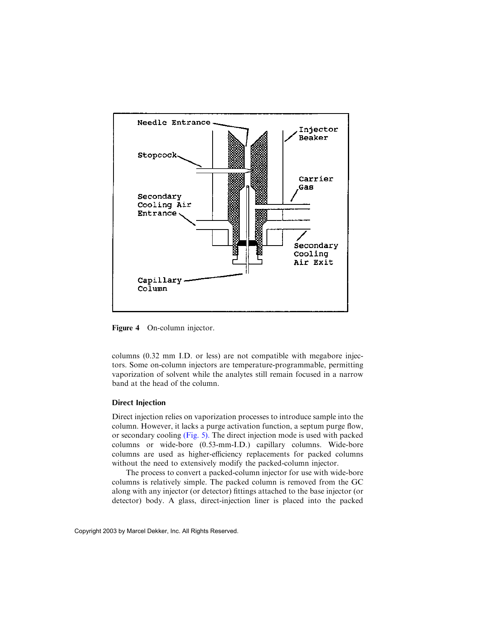<span id="page-16-0"></span>

Figure 4 On-column injector.

columns (0.32 mm I.D. or less) are not compatible with megabore injectors. Some on-column injectors are temperature-programmable, permitting vaporization of solvent while the analytes still remain focused in a narrow band at the head of the column.

#### Direct Injection

Direct injection relies on vaporization processes to introduce sample into the column. However, it lacks a purge activation function, a septum purge flow, or secondary cooling [\(Fig. 5\)](#page-17-0). The direct injection mode is used with packed columns or wide-bore (0.53-mm-I.D.) capillary columns. Wide-bore columns are used as higher-efficiency replacements for packed columns without the need to extensively modify the packed-column injector.

The process to convert a packed-column injector for use with wide-bore columns is relatively simple. The packed column is removed from the GC along with any injector (or detector) fittings attached to the base injector (or detector) body. A glass, direct-injection liner is placed into the packed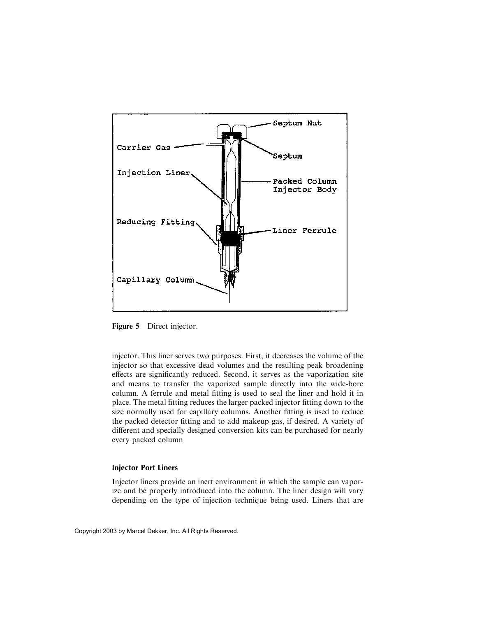<span id="page-17-0"></span>

Figure 5 Direct injector.

injector. This liner serves two purposes. First, it decreases the volume of the injector so that excessive dead volumes and the resulting peak broadening effects are significantly reduced. Second, it serves as the vaporization site and means to transfer the vaporized sample directly into the wide-bore column. A ferrule and metal fitting is used to seal the liner and hold it in place. The metal fitting reduces the larger packed injector fitting down to the size normally used for capillary columns. Another fitting is used to reduce the packed detector fitting and to add makeup gas, if desired. A variety of different and specially designed conversion kits can be purchased for nearly every packed column

## Injector Port Liners

Injector liners provide an inert environment in which the sample can vaporize and be properly introduced into the column. The liner design will vary depending on the type of injection technique being used. Liners that are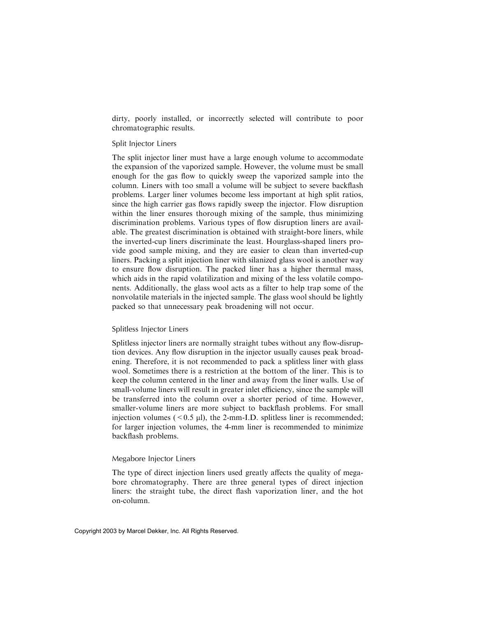dirty, poorly installed, or incorrectly selected will contribute to poor chromatographic results.

### Split Injector Liners

The split injector liner must have a large enough volume to accommodate the expansion of the vaporized sample. However, the volume must be small enough for the gas flow to quickly sweep the vaporized sample into the column. Liners with too small a volume will be subject to severe backflash problems. Larger liner volumes become less important at high split ratios, since the high carrier gas flows rapidly sweep the injector. Flow disruption within the liner ensures thorough mixing of the sample, thus minimizing discrimination problems. Various types of flow disruption liners are available. The greatest discrimination is obtained with straight-bore liners, while the inverted-cup liners discriminate the least. Hourglass-shaped liners provide good sample mixing, and they are easier to clean than inverted-cup liners. Packing a split injection liner with silanized glass wool is another way to ensure flow disruption. The packed liner has a higher thermal mass, which aids in the rapid volatilization and mixing of the less volatile components. Additionally, the glass wool acts as a filter to help trap some of the nonvolatile materials in the injected sample. The glass wool should be lightly packed so that unnecessary peak broadening will not occur.

## Splitless Injector Liners

Splitless injector liners are normally straight tubes without any flow-disruption devices. Any flow disruption in the injector usually causes peak broadening. Therefore, it is not recommended to pack a splitless liner with glass wool. Sometimes there is a restriction at the bottom of the liner. This is to keep the column centered in the liner and away from the liner walls. Use of small-volume liners will result in greater inlet efficiency, since the sample will be transferred into the column over a shorter period of time. However, smaller-volume liners are more subject to backflash problems. For small injection volumes  $( $0.5 \text{ }\mu\text{L})$ , the 2-mm-I.D. splitless liner is recommended;$ for larger injection volumes, the 4-mm liner is recommended to minimize backflash problems.

#### Megabore Injector Liners

The type of direct injection liners used greatly affects the quality of megabore chromatography. There are three general types of direct injection liners: the straight tube, the direct flash vaporization liner, and the hot on-column.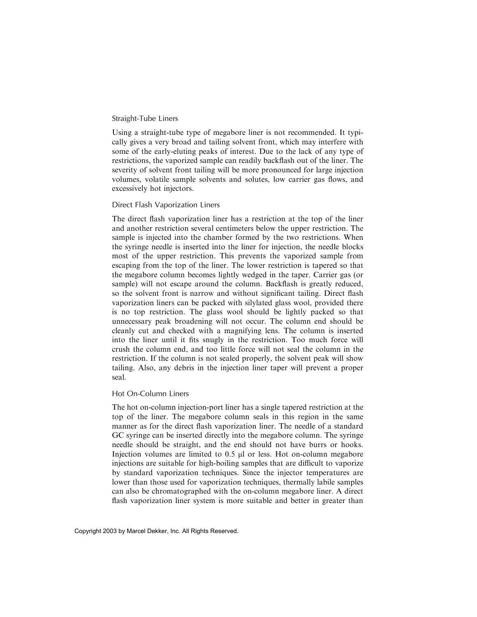## Straight-Tube Liners

Using a straight-tube type of megabore liner is not recommended. It typically gives a very broad and tailing solvent front, which may interfere with some of the early-eluting peaks of interest. Due to the lack of any type of restrictions, the vaporized sample can readily backflash out of the liner. The severity of solvent front tailing will be more pronounced for large injection volumes, volatile sample solvents and solutes, low carrier gas flows, and excessively hot injectors.

## Direct Flash Vaporization Liners

The direct flash vaporization liner has a restriction at the top of the liner and another restriction several centimeters below the upper restriction. The sample is injected into the chamber formed by the two restrictions. When the syringe needle is inserted into the liner for injection, the needle blocks most of the upper restriction. This prevents the vaporized sample from escaping from the top of the liner. The lower restriction is tapered so that the megabore column becomes lightly wedged in the taper. Carrier gas (or sample) will not escape around the column. Backflash is greatly reduced, so the solvent front is narrow and without significant tailing. Direct flash vaporization liners can be packed with silylated glass wool, provided there is no top restriction. The glass wool should be lightly packed so that unnecessary peak broadening will not occur. The column end should be cleanly cut and checked with a magnifying lens. The column is inserted into the liner until it fits snugly in the restriction. Too much force will crush the column end, and too little force will not seal the column in the restriction. If the column is not sealed properly, the solvent peak will show tailing. Also, any debris in the injection liner taper will prevent a proper seal.

## Hot On-Column Liners

The hot on-column injection-port liner has a single tapered restriction at the top of the liner. The megabore column seals in this region in the same manner as for the direct flash vaporization liner. The needle of a standard GC syringe can be inserted directly into the megabore column. The syringe needle should be straight, and the end should not have burrs or hooks. Injection volumes are limited to  $0.5 \mu$  or less. Hot on-column megabore injections are suitable for high-boiling samples that are difficult to vaporize by standard vaporization techniques. Since the injector temperatures are lower than those used for vaporization techniques, thermally labile samples can also be chromatographed with the on-column megabore liner. A direct flash vaporization liner system is more suitable and better in greater than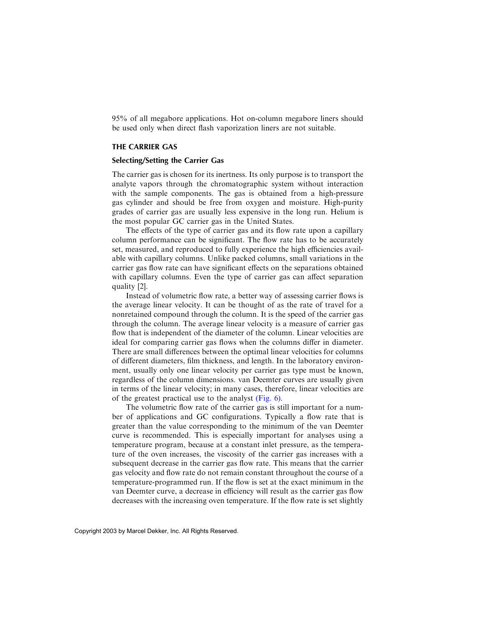95% of all megabore applications. Hot on-column megabore liners should be used only when direct flash vaporization liners are not suitable.

#### THE CARRIER GAS

#### Selecting/Setting the Carrier Gas

The carrier gas is chosen for its inertness. Its only purpose is to transport the analyte vapors through the chromatographic system without interaction with the sample components. The gas is obtained from a high-pressure gas cylinder and should be free from oxygen and moisture. High-purity grades of carrier gas are usually less expensive in the long run. Helium is the most popular GC carrier gas in the United States.

The effects of the type of carrier gas and its flow rate upon a capillary column performance can be significant. The flow rate has to be accurately set, measured, and reproduced to fully experience the high efficiencies available with capillary columns. Unlike packed columns, small variations in the carrier gas flow rate can have significant effects on the separations obtained with capillary columns. Even the type of carrier gas can affect separation quality [2].

Instead of volumetric flow rate, a better way of assessing carrier flows is the average linear velocity. It can be thought of as the rate of travel for a nonretained compound through the column. It is the speed of the carrier gas through the column. The average linear velocity is a measure of carrier gas flow that is independent of the diameter of the column. Linear velocities are ideal for comparing carrier gas flows when the columns differ in diameter. There are small differences between the optimal linear velocities for columns of different diameters, film thickness, and length. In the laboratory environment, usually only one linear velocity per carrier gas type must be known, regardless of the column dimensions. van Deemter curves are usually given in terms of the linear velocity; in many cases, therefore, linear velocities are of the greatest practical use to the analyst [\(Fig. 6\).](#page-21-0)

The volumetric flow rate of the carrier gas is still important for a number of applications and GC configurations. Typically a flow rate that is greater than the value corresponding to the minimum of the van Deemter curve is recommended. This is especially important for analyses using a temperature program, because at a constant inlet pressure, as the temperature of the oven increases, the viscosity of the carrier gas increases with a subsequent decrease in the carrier gas flow rate. This means that the carrier gas velocity and flow rate do not remain constant throughout the course of a temperature-programmed run. If the flow is set at the exact minimum in the van Deemter curve, a decrease in efficiency will result as the carrier gas flow decreases with the increasing oven temperature. If the flow rate is set slightly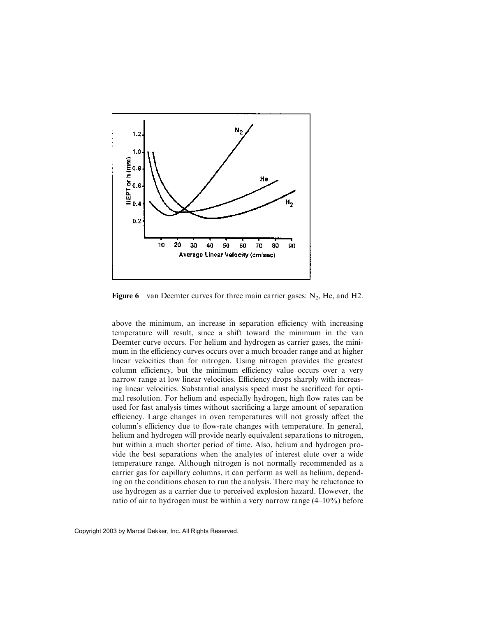<span id="page-21-0"></span>

Figure 6 van Deemter curves for three main carrier gases:  $N_2$ , He, and H2.

above the minimum, an increase in separation efficiency with increasing temperature will result, since a shift toward the minimum in the van Deemter curve occurs. For helium and hydrogen as carrier gases, the minimum in the efficiency curves occurs over a much broader range and at higher linear velocities than for nitrogen. Using nitrogen provides the greatest column efficiency, but the minimum efficiency value occurs over a very narrow range at low linear velocities. Efficiency drops sharply with increasing linear velocities. Substantial analysis speed must be sacrificed for optimal resolution. For helium and especially hydrogen, high flow rates can be used for fast analysis times without sacrificing a large amount of separation efficiency. Large changes in oven temperatures will not grossly affect the column's efficiency due to flow-rate changes with temperature. In general, helium and hydrogen will provide nearly equivalent separations to nitrogen, but within a much shorter period of time. Also, helium and hydrogen provide the best separations when the analytes of interest elute over a wide temperature range. Although nitrogen is not normally recommended as a carrier gas for capillary columns, it can perform as well as helium, depending on the conditions chosen to run the analysis. There may be reluctance to use hydrogen as a carrier due to perceived explosion hazard. However, the ratio of air to hydrogen must be within a very narrow range (4–10%) before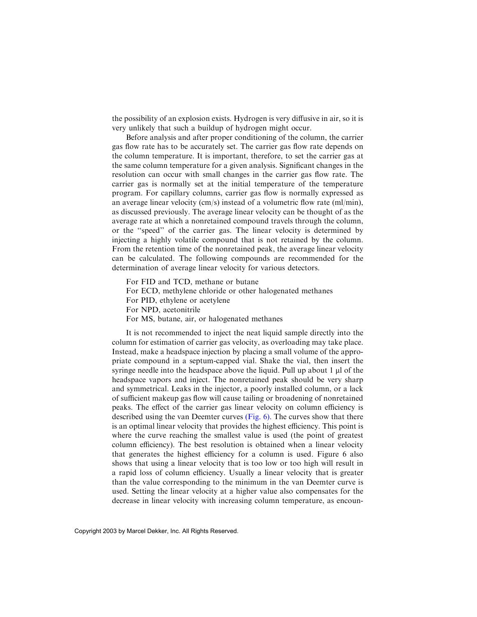the possibility of an explosion exists. Hydrogen is very diffusive in air, so it is very unlikely that such a buildup of hydrogen might occur.

Before analysis and after proper conditioning of the column, the carrier gas flow rate has to be accurately set. The carrier gas flow rate depends on the column temperature. It is important, therefore, to set the carrier gas at the same column temperature for a given analysis. Significant changes in the resolution can occur with small changes in the carrier gas flow rate. The carrier gas is normally set at the initial temperature of the temperature program. For capillary columns, carrier gas flow is normally expressed as an average linear velocity (cm/s) instead of a volumetric flow rate (ml/min), as discussed previously. The average linear velocity can be thought of as the average rate at which a nonretained compound travels through the column, or the ''speed'' of the carrier gas. The linear velocity is determined by injecting a highly volatile compound that is not retained by the column. From the retention time of the nonretained peak, the average linear velocity can be calculated. The following compounds are recommended for the determination of average linear velocity for various detectors.

For FID and TCD, methane or butane For ECD, methylene chloride or other halogenated methanes For PID, ethylene or acetylene For NPD, acetonitrile For MS, butane, air, or halogenated methanes

It is not recommended to inject the neat liquid sample directly into the column for estimation of carrier gas velocity, as overloading may take place. Instead, make a headspace injection by placing a small volume of the appropriate compound in a septum-capped vial. Shake the vial, then insert the syringe needle into the headspace above the liquid. Pull up about 1 µl of the headspace vapors and inject. The nonretained peak should be very sharp and symmetrical. Leaks in the injector, a poorly installed column, or a lack of sufficient makeup gas flow will cause tailing or broadening of nonretained peaks. The effect of the carrier gas linear velocity on column efficiency is described using the van Deemter curves [\(Fig. 6\).](#page-21-0) The curves show that there is an optimal linear velocity that provides the highest efficiency. This point is where the curve reaching the smallest value is used (the point of greatest column efficiency). The best resolution is obtained when a linear velocity that generates the highest efficiency for a column is used. Figure 6 also shows that using a linear velocity that is too low or too high will result in a rapid loss of column efficiency. Usually a linear velocity that is greater than the value corresponding to the minimum in the van Deemter curve is used. Setting the linear velocity at a higher value also compensates for the decrease in linear velocity with increasing column temperature, as encoun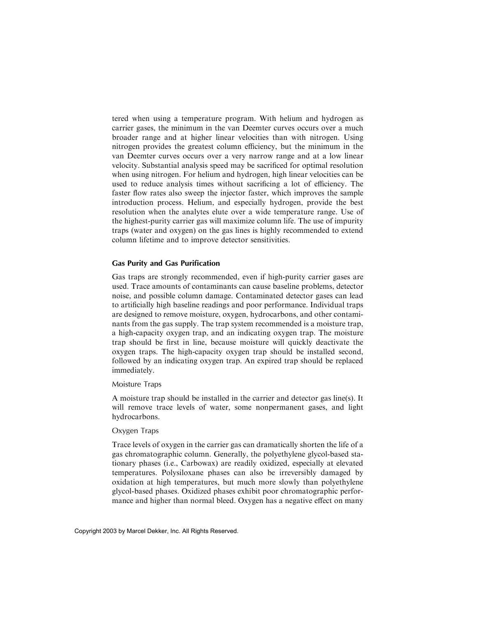tered when using a temperature program. With helium and hydrogen as carrier gases, the minimum in the van Deemter curves occurs over a much broader range and at higher linear velocities than with nitrogen. Using nitrogen provides the greatest column efficiency, but the minimum in the van Deemter curves occurs over a very narrow range and at a low linear velocity. Substantial analysis speed may be sacrificed for optimal resolution when using nitrogen. For helium and hydrogen, high linear velocities can be used to reduce analysis times without sacrificing a lot of efficiency. The faster flow rates also sweep the injector faster, which improves the sample introduction process. Helium, and especially hydrogen, provide the best resolution when the analytes elute over a wide temperature range. Use of the highest-purity carrier gas will maximize column life. The use of impurity traps (water and oxygen) on the gas lines is highly recommended to extend column lifetime and to improve detector sensitivities.

# Gas Purity and Gas Purification

Gas traps are strongly recommended, even if high-purity carrier gases are used. Trace amounts of contaminants can cause baseline problems, detector noise, and possible column damage. Contaminated detector gases can lead to artificially high baseline readings and poor performance. Individual traps are designed to remove moisture, oxygen, hydrocarbons, and other contaminants from the gas supply. The trap system recommended is a moisture trap, a high-capacity oxygen trap, and an indicating oxygen trap. The moisture trap should be first in line, because moisture will quickly deactivate the oxygen traps. The high-capacity oxygen trap should be installed second, followed by an indicating oxygen trap. An expired trap should be replaced immediately.

#### Moisture Traps

A moisture trap should be installed in the carrier and detector gas line(s). It will remove trace levels of water, some nonpermanent gases, and light hydrocarbons.

## Oxygen Traps

Trace levels of oxygen in the carrier gas can dramatically shorten the life of a gas chromatographic column. Generally, the polyethylene glycol-based stationary phases (i.e., Carbowax) are readily oxidized, especially at elevated temperatures. Polysiloxane phases can also be irreversibly damaged by oxidation at high temperatures, but much more slowly than polyethylene glycol-based phases. Oxidized phases exhibit poor chromatographic performance and higher than normal bleed. Oxygen has a negative effect on many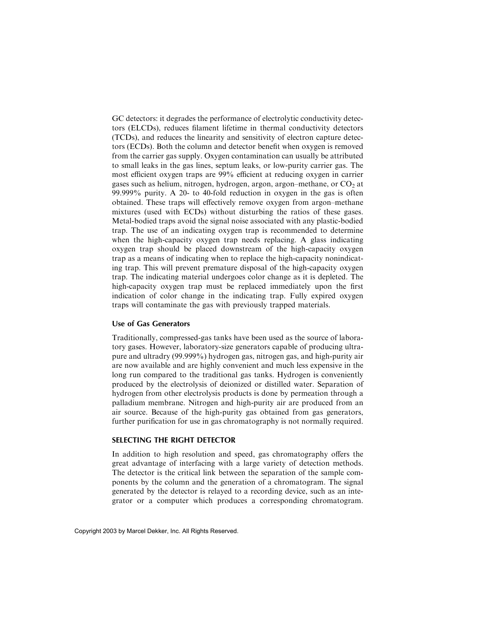GC detectors: it degrades the performance of electrolytic conductivity detectors (ELCDs), reduces filament lifetime in thermal conductivity detectors (TCDs), and reduces the linearity and sensitivity of electron capture detectors (ECDs). Both the column and detector benefit when oxygen is removed from the carrier gas supply. Oxygen contamination can usually be attributed to small leaks in the gas lines, septum leaks, or low-purity carrier gas. The most efficient oxygen traps are 99% efficient at reducing oxygen in carrier gases such as helium, nitrogen, hydrogen, argon, argon–methane, or  $CO<sub>2</sub>$  at 99.999% purity. A 20- to 40-fold reduction in oxygen in the gas is often obtained. These traps will effectively remove oxygen from argon–methane mixtures (used with ECDs) without disturbing the ratios of these gases. Metal-bodied traps avoid the signal noise associated with any plastic-bodied trap. The use of an indicating oxygen trap is recommended to determine when the high-capacity oxygen trap needs replacing. A glass indicating oxygen trap should be placed downstream of the high-capacity oxygen trap as a means of indicating when to replace the high-capacity nonindicating trap. This will prevent premature disposal of the high-capacity oxygen trap. The indicating material undergoes color change as it is depleted. The high-capacity oxygen trap must be replaced immediately upon the first indication of color change in the indicating trap. Fully expired oxygen traps will contaminate the gas with previously trapped materials.

## Use of Gas Generators

Traditionally, compressed-gas tanks have been used as the source of laboratory gases. However, laboratory-size generators capable of producing ultrapure and ultradry (99.999%) hydrogen gas, nitrogen gas, and high-purity air are now available and are highly convenient and much less expensive in the long run compared to the traditional gas tanks. Hydrogen is conveniently produced by the electrolysis of deionized or distilled water. Separation of hydrogen from other electrolysis products is done by permeation through a palladium membrane. Nitrogen and high-purity air are produced from an air source. Because of the high-purity gas obtained from gas generators, further purification for use in gas chromatography is not normally required.

#### SELECTING THE RIGHT DETECTOR

In addition to high resolution and speed, gas chromatography offers the great advantage of interfacing with a large variety of detection methods. The detector is the critical link between the separation of the sample components by the column and the generation of a chromatogram. The signal generated by the detector is relayed to a recording device, such as an integrator or a computer which produces a corresponding chromatogram.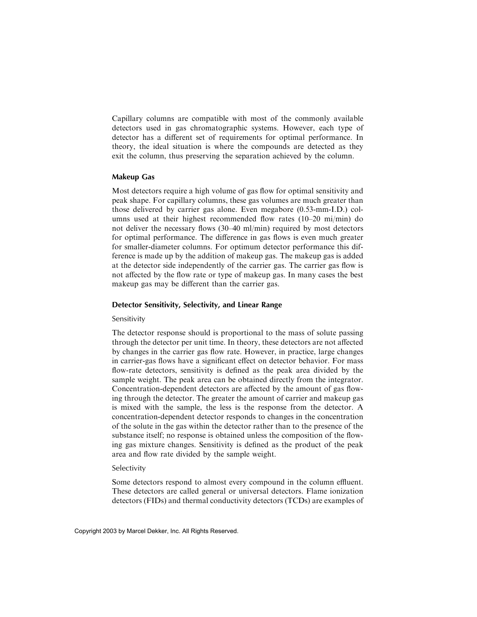Capillary columns are compatible with most of the commonly available detectors used in gas chromatographic systems. However, each type of detector has a different set of requirements for optimal performance. In theory, the ideal situation is where the compounds are detected as they exit the column, thus preserving the separation achieved by the column.

### Makeup Gas

Most detectors require a high volume of gas flow for optimal sensitivity and peak shape. For capillary columns, these gas volumes are much greater than those delivered by carrier gas alone. Even megabore (0.53-mm-I.D.) columns used at their highest recommended flow rates (10–20 mi/min) do not deliver the necessary flows (30–40 ml/min) required by most detectors for optimal performance. The difference in gas flows is even much greater for smaller-diameter columns. For optimum detector performance this difference is made up by the addition of makeup gas. The makeup gas is added at the detector side independently of the carrier gas. The carrier gas flow is not affected by the flow rate or type of makeup gas. In many cases the best makeup gas may be different than the carrier gas.

#### Detector Sensitivity, Selectivity, and Linear Range

#### Sensitivity

The detector response should is proportional to the mass of solute passing through the detector per unit time. In theory, these detectors are not affected by changes in the carrier gas flow rate. However, in practice, large changes in carrier-gas flows have a significant effect on detector behavior. For mass flow-rate detectors, sensitivity is defined as the peak area divided by the sample weight. The peak area can be obtained directly from the integrator. Concentration-dependent detectors are affected by the amount of gas flowing through the detector. The greater the amount of carrier and makeup gas is mixed with the sample, the less is the response from the detector. A concentration-dependent detector responds to changes in the concentration of the solute in the gas within the detector rather than to the presence of the substance itself; no response is obtained unless the composition of the flowing gas mixture changes. Sensitivity is defined as the product of the peak area and flow rate divided by the sample weight.

## Selectivity

Some detectors respond to almost every compound in the column effluent. These detectors are called general or universal detectors. Flame ionization detectors (FIDs) and thermal conductivity detectors (TCDs) are examples of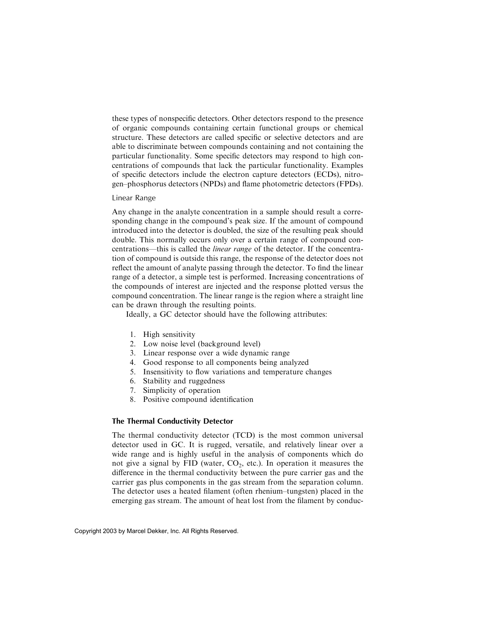these types of nonspecific detectors. Other detectors respond to the presence of organic compounds containing certain functional groups or chemical structure. These detectors are called specific or selective detectors and are able to discriminate between compounds containing and not containing the particular functionality. Some specific detectors may respond to high concentrations of compounds that lack the particular functionality. Examples of specific detectors include the electron capture detectors (ECDs), nitrogen–phosphorus detectors (NPDs) and flame photometric detectors (FPDs).

#### Linear Range

Any change in the analyte concentration in a sample should result a corresponding change in the compound's peak size. If the amount of compound introduced into the detector is doubled, the size of the resulting peak should double. This normally occurs only over a certain range of compound concentrations—this is called the linear range of the detector. If the concentration of compound is outside this range, the response of the detector does not reflect the amount of analyte passing through the detector. To find the linear range of a detector, a simple test is performed. Increasing concentrations of the compounds of interest are injected and the response plotted versus the compound concentration. The linear range is the region where a straight line can be drawn through the resulting points.

Ideally, a GC detector should have the following attributes:

- 1. High sensitivity
- 2. Low noise level (background level)
- 3. Linear response over a wide dynamic range
- 4. Good response to all components being analyzed
- 5. Insensitivity to flow variations and temperature changes
- 6. Stability and ruggedness
- 7. Simplicity of operation
- 8. Positive compound identification

## The Thermal Conductivity Detector

The thermal conductivity detector (TCD) is the most common universal detector used in GC. It is rugged, versatile, and relatively linear over a wide range and is highly useful in the analysis of components which do not give a signal by FID (water,  $CO<sub>2</sub>$ , etc.). In operation it measures the difference in the thermal conductivity between the pure carrier gas and the carrier gas plus components in the gas stream from the separation column. The detector uses a heated filament (often rhenium–tungsten) placed in the emerging gas stream. The amount of heat lost from the filament by conduc-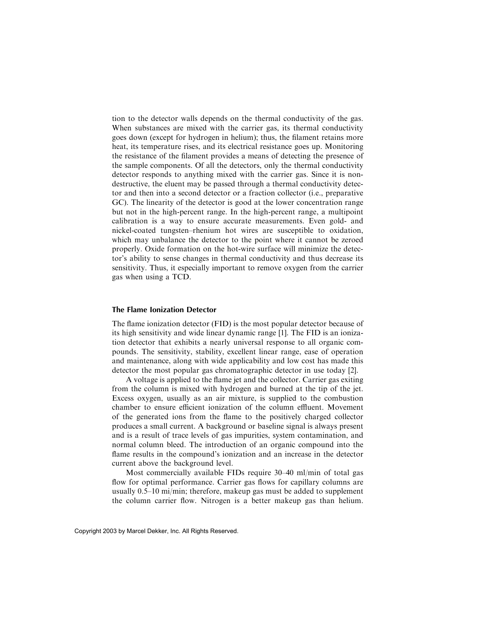tion to the detector walls depends on the thermal conductivity of the gas. When substances are mixed with the carrier gas, its thermal conductivity goes down (except for hydrogen in helium); thus, the filament retains more heat, its temperature rises, and its electrical resistance goes up. Monitoring the resistance of the filament provides a means of detecting the presence of the sample components. Of all the detectors, only the thermal conductivity detector responds to anything mixed with the carrier gas. Since it is nondestructive, the eluent may be passed through a thermal conductivity detector and then into a second detector or a fraction collector (i.e., preparative GC). The linearity of the detector is good at the lower concentration range but not in the high-percent range. In the high-percent range, a multipoint calibration is a way to ensure accurate measurements. Even gold- and nickel-coated tungsten–rhenium hot wires are susceptible to oxidation, which may unbalance the detector to the point where it cannot be zeroed properly. Oxide formation on the hot-wire surface will minimize the detector's ability to sense changes in thermal conductivity and thus decrease its sensitivity. Thus, it especially important to remove oxygen from the carrier gas when using a TCD.

#### The Flame Ionization Detector

The flame ionization detector (FID) is the most popular detector because of its high sensitivity and wide linear dynamic range [1]. The FID is an ionization detector that exhibits a nearly universal response to all organic compounds. The sensitivity, stability, excellent linear range, ease of operation and maintenance, along with wide applicability and low cost has made this detector the most popular gas chromatographic detector in use today [2].

A voltage is applied to the flame jet and the collector. Carrier gas exiting from the column is mixed with hydrogen and burned at the tip of the jet. Excess oxygen, usually as an air mixture, is supplied to the combustion chamber to ensure efficient ionization of the column effluent. Movement of the generated ions from the flame to the positively charged collector produces a small current. A background or baseline signal is always present and is a result of trace levels of gas impurities, system contamination, and normal column bleed. The introduction of an organic compound into the flame results in the compound's ionization and an increase in the detector current above the background level.

Most commercially available FIDs require 30–40 ml/min of total gas flow for optimal performance. Carrier gas flows for capillary columns are usually 0.5–10 mi/min; therefore, makeup gas must be added to supplement the column carrier flow. Nitrogen is a better makeup gas than helium.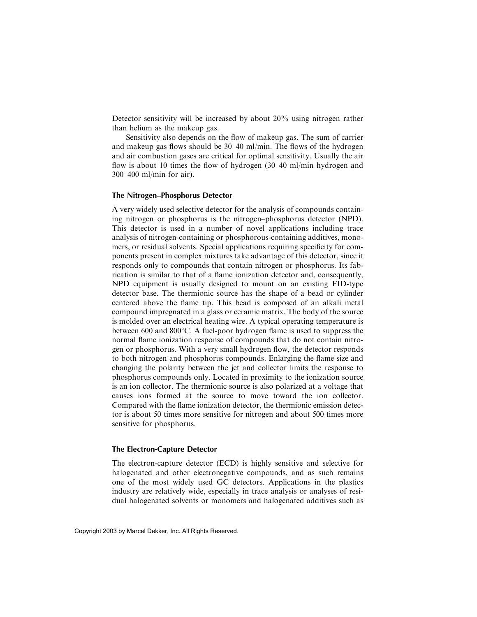Detector sensitivity will be increased by about 20% using nitrogen rather than helium as the makeup gas.

Sensitivity also depends on the flow of makeup gas. The sum of carrier and makeup gas flows should be 30–40 ml/min. The flows of the hydrogen and air combustion gases are critical for optimal sensitivity. Usually the air flow is about 10 times the flow of hydrogen (30–40 ml/min hydrogen and 300–400 ml/min for air).

#### The Nitrogen–Phosphorus Detector

A very widely used selective detector for the analysis of compounds containing nitrogen or phosphorus is the nitrogen–phosphorus detector (NPD). This detector is used in a number of novel applications including trace analysis of nitrogen-containing or phosphorous-containing additives, monomers, or residual solvents. Special applications requiring specificity for components present in complex mixtures take advantage of this detector, since it responds only to compounds that contain nitrogen or phosphorus. Its fabrication is similar to that of a flame ionization detector and, consequently, NPD equipment is usually designed to mount on an existing FID-type detector base. The thermionic source has the shape of a bead or cylinder centered above the flame tip. This bead is composed of an alkali metal compound impregnated in a glass or ceramic matrix. The body of the source is molded over an electrical heating wire. A typical operating temperature is between 600 and 800 $\degree$ C. A fuel-poor hydrogen flame is used to suppress the normal flame ionization response of compounds that do not contain nitrogen or phosphorus. With a very small hydrogen flow, the detector responds to both nitrogen and phosphorus compounds. Enlarging the flame size and changing the polarity between the jet and collector limits the response to phosphorus compounds only. Located in proximity to the ionization source is an ion collector. The thermionic source is also polarized at a voltage that causes ions formed at the source to move toward the ion collector. Compared with the flame ionization detector, the thermionic emission detector is about 50 times more sensitive for nitrogen and about 500 times more sensitive for phosphorus.

## The Electron-Capture Detector

The electron-capture detector (ECD) is highly sensitive and selective for halogenated and other electronegative compounds, and as such remains one of the most widely used GC detectors. Applications in the plastics industry are relatively wide, especially in trace analysis or analyses of residual halogenated solvents or monomers and halogenated additives such as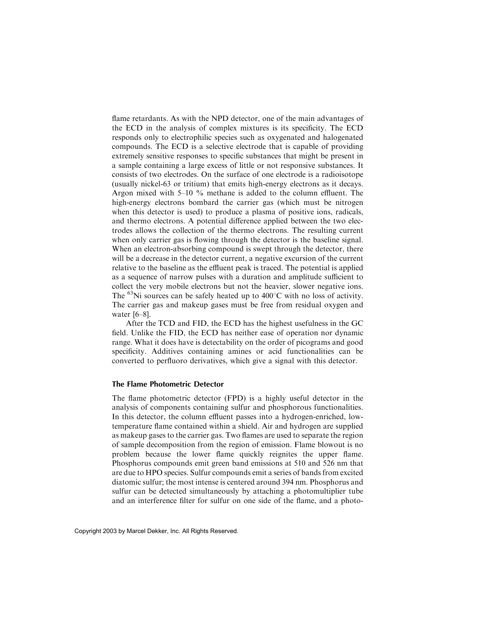flame retardants. As with the NPD detector, one of the main advantages of the ECD in the analysis of complex mixtures is its specificity. The ECD responds only to electrophilic species such as oxygenated and halogenated compounds. The ECD is a selective electrode that is capable of providing extremely sensitive responses to specific substances that might be present in a sample containing a large excess of little or not responsive substances. It consists of two electrodes. On the surface of one electrode is a radioisotope (usually nickel-63 or tritium) that emits high-energy electrons as it decays. Argon mixed with 5–10 % methane is added to the column effluent. The high-energy electrons bombard the carrier gas (which must be nitrogen when this detector is used) to produce a plasma of positive ions, radicals, and thermo electrons. A potential difference applied between the two electrodes allows the collection of the thermo electrons. The resulting current when only carrier gas is flowing through the detector is the baseline signal. When an electron-absorbing compound is swept through the detector, there will be a decrease in the detector current, a negative excursion of the current relative to the baseline as the effluent peak is traced. The potential is applied as a sequence of narrow pulses with a duration and amplitude sufficient to collect the very mobile electrons but not the heavier, slower negative ions. The <sup>63</sup>Ni sources can be safely heated up to  $400^{\circ}$ C with no loss of activity. The carrier gas and makeup gases must be free from residual oxygen and water [6–8].

After the TCD and FID, the ECD has the highest usefulness in the GC field. Unlike the FID, the ECD has neither ease of operation nor dynamic range. What it does have is detectability on the order of picograms and good specificity. Additives containing amines or acid functionalities can be converted to perfluoro derivatives, which give a signal with this detector.

#### The Flame Photometric Detector

The flame photometric detector (FPD) is a highly useful detector in the analysis of components containing sulfur and phosphorous functionalities. In this detector, the column effluent passes into a hydrogen-enriched, lowtemperature flame contained within a shield. Air and hydrogen are supplied as makeup gases to the carrier gas. Two flames are used to separate the region of sample decomposition from the region of emission. Flame blowout is no problem because the lower flame quickly reignites the upper flame. Phosphorus compounds emit green band emissions at 510 and 526 nm that are due to HPO species. Sulfur compounds emit a series of bands from excited diatomic sulfur; the most intense is centered around 394 nm. Phosphorus and sulfur can be detected simultaneously by attaching a photomultiplier tube and an interference filter for sulfur on one side of the flame, and a photo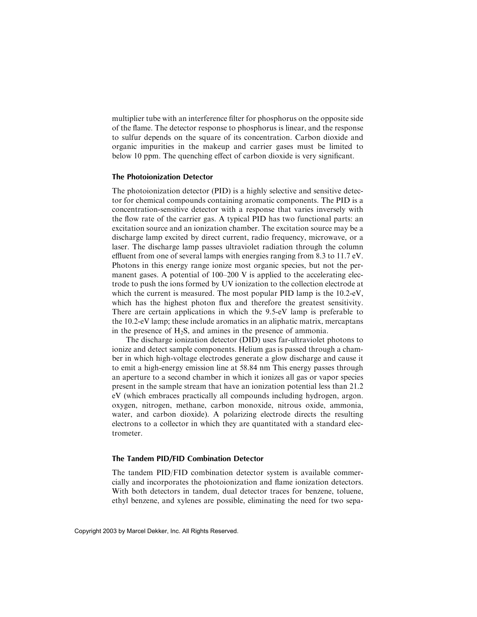multiplier tube with an interference filter for phosphorus on the opposite side of the flame. The detector response to phosphorus is linear, and the response to sulfur depends on the square of its concentration. Carbon dioxide and organic impurities in the makeup and carrier gases must be limited to below 10 ppm. The quenching effect of carbon dioxide is very significant.

#### The Photoionization Detector

The photoionization detector (PID) is a highly selective and sensitive detector for chemical compounds containing aromatic components. The PID is a concentration-sensitive detector with a response that varies inversely with the flow rate of the carrier gas. A typical PID has two functional parts: an excitation source and an ionization chamber. The excitation source may be a discharge lamp excited by direct current, radio frequency, microwave, or a laser. The discharge lamp passes ultraviolet radiation through the column effluent from one of several lamps with energies ranging from 8.3 to 11.7 eV. Photons in this energy range ionize most organic species, but not the permanent gases. A potential of 100–200 V is applied to the accelerating electrode to push the ions formed by UV ionization to the collection electrode at which the current is measured. The most popular PID lamp is the 10.2-eV, which has the highest photon flux and therefore the greatest sensitivity. There are certain applications in which the 9.5-eV lamp is preferable to the 10.2-eV lamp; these include aromatics in an aliphatic matrix, mercaptans in the presence of  $H_2S$ , and amines in the presence of ammonia.

The discharge ionization detector (DID) uses far-ultraviolet photons to ionize and detect sample components. Helium gas is passed through a chamber in which high-voltage electrodes generate a glow discharge and cause it to emit a high-energy emission line at 58.84 nm This energy passes through an aperture to a second chamber in which it ionizes all gas or vapor species present in the sample stream that have an ionization potential less than 21.2 eV (which embraces practically all compounds including hydrogen, argon. oxygen, nitrogen, methane, carbon monoxide, nitrous oxide, ammonia, water, and carbon dioxide). A polarizing electrode directs the resulting electrons to a collector in which they are quantitated with a standard electrometer.

#### The Tandem PID/FID Combination Detector

The tandem PID/FID combination detector system is available commercially and incorporates the photoionization and flame ionization detectors. With both detectors in tandem, dual detector traces for benzene, toluene, ethyl benzene, and xylenes are possible, eliminating the need for two sepa-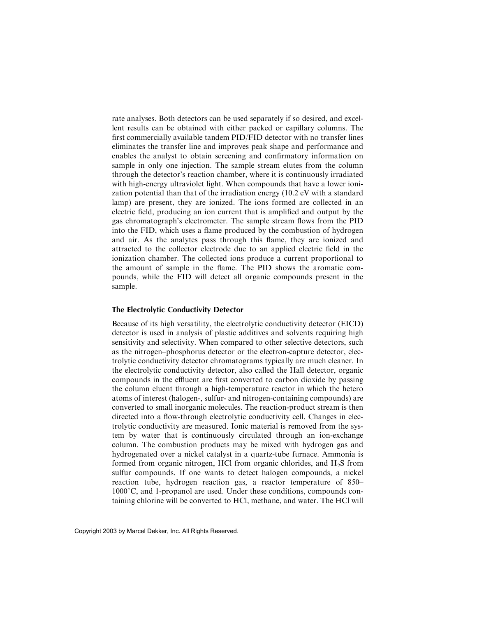rate analyses. Both detectors can be used separately if so desired, and excellent results can be obtained with either packed or capillary columns. The first commercially available tandem PID/FID detector with no transfer lines eliminates the transfer line and improves peak shape and performance and enables the analyst to obtain screening and confirmatory information on sample in only one injection. The sample stream elutes from the column through the detector's reaction chamber, where it is continuously irradiated with high-energy ultraviolet light. When compounds that have a lower ionization potential than that of the irradiation energy (10.2 eV with a standard lamp) are present, they are ionized. The ions formed are collected in an electric field, producing an ion current that is amplified and output by the gas chromatograph's electrometer. The sample stream flows from the PID into the FID, which uses a flame produced by the combustion of hydrogen and air. As the analytes pass through this flame, they are ionized and attracted to the collector electrode due to an applied electric field in the ionization chamber. The collected ions produce a current proportional to the amount of sample in the flame. The PID shows the aromatic compounds, while the FID will detect all organic compounds present in the sample.

#### The Electrolytic Conductivity Detector

Because of its high versatility, the electrolytic conductivity detector (EICD) detector is used in analysis of plastic additives and solvents requiring high sensitivity and selectivity. When compared to other selective detectors, such as the nitrogen–phosphorus detector or the electron-capture detector, electrolytic conductivity detector chromatograms typically are much cleaner. In the electrolytic conductivity detector, also called the Hall detector, organic compounds in the effluent are first converted to carbon dioxide by passing the column eluent through a high-temperature reactor in which the hetero atoms of interest (halogen-, sulfur- and nitrogen-containing compounds) are converted to small inorganic molecules. The reaction-product stream is then directed into a flow-through electrolytic conductivity cell. Changes in electrolytic conductivity are measured. Ionic material is removed from the system by water that is continuously circulated through an ion-exchange column. The combustion products may be mixed with hydrogen gas and hydrogenated over a nickel catalyst in a quartz-tube furnace. Ammonia is formed from organic nitrogen, HCl from organic chlorides, and  $H<sub>2</sub>S$  from sulfur compounds. If one wants to detect halogen compounds, a nickel reaction tube, hydrogen reaction gas, a reactor temperature of 850–  $1000^{\circ}$ C, and 1-propanol are used. Under these conditions, compounds containing chlorine will be converted to HCl, methane, and water. The HCl will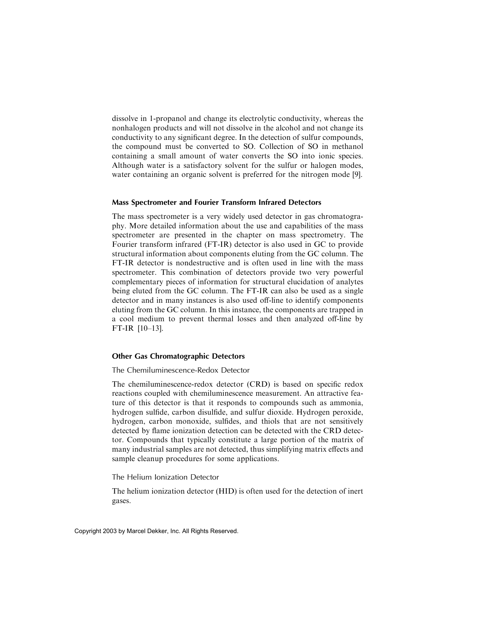dissolve in 1-propanol and change its electrolytic conductivity, whereas the nonhalogen products and will not dissolve in the alcohol and not change its conductivity to any significant degree. In the detection of sulfur compounds, the compound must be converted to SO. Collection of SO in methanol containing a small amount of water converts the SO into ionic species. Although water is a satisfactory solvent for the sulfur or halogen modes, water containing an organic solvent is preferred for the nitrogen mode [9].

#### Mass Spectrometer and Fourier Transform Infrared Detectors

The mass spectrometer is a very widely used detector in gas chromatography. More detailed information about the use and capabilities of the mass spectrometer are presented in the chapter on mass spectrometry. The Fourier transform infrared (FT-IR) detector is also used in GC to provide structural information about components eluting from the GC column. The FT-IR detector is nondestructive and is often used in line with the mass spectrometer. This combination of detectors provide two very powerful complementary pieces of information for structural elucidation of analytes being eluted from the GC column. The FT-IR can also be used as a single detector and in many instances is also used off-line to identify components eluting from the GC column. In this instance, the components are trapped in a cool medium to prevent thermal losses and then analyzed off-line by FT-IR [10–13].

## Other Gas Chromatographic Detectors

## The Chemiluminescence-Redox Detector

The chemiluminescence-redox detector (CRD) is based on specific redox reactions coupled with chemiluminescence measurement. An attractive feature of this detector is that it responds to compounds such as ammonia, hydrogen sulfide, carbon disulfide, and sulfur dioxide. Hydrogen peroxide, hydrogen, carbon monoxide, sulfides, and thiols that are not sensitively detected by flame ionization detection can be detected with the CRD detector. Compounds that typically constitute a large portion of the matrix of many industrial samples are not detected, thus simplifying matrix effects and sample cleanup procedures for some applications.

# The Helium Ionization Detector

The helium ionization detector (HID) is often used for the detection of inert gases.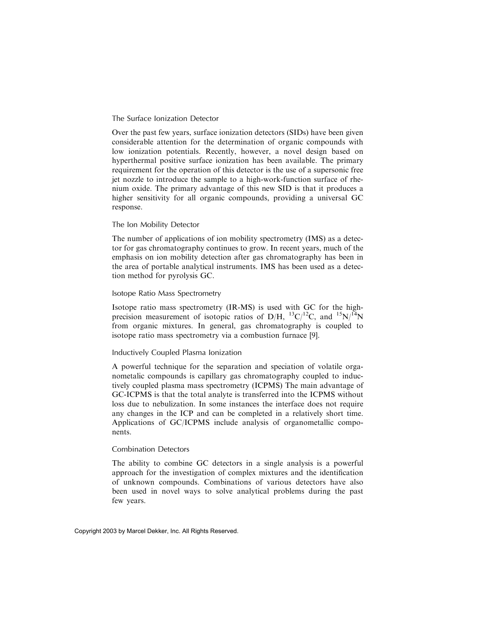## The Surface Ionization Detector

Over the past few years, surface ionization detectors (SIDs) have been given considerable attention for the determination of organic compounds with low ionization potentials. Recently, however, a novel design based on hyperthermal positive surface ionization has been available. The primary requirement for the operation of this detector is the use of a supersonic free jet nozzle to introduce the sample to a high-work-function surface of rhenium oxide. The primary advantage of this new SID is that it produces a higher sensitivity for all organic compounds, providing a universal GC response.

## The Ion Mobility Detector

The number of applications of ion mobility spectrometry (IMS) as a detector for gas chromatography continues to grow. In recent years, much of the emphasis on ion mobility detection after gas chromatography has been in the area of portable analytical instruments. IMS has been used as a detection method for pyrolysis GC.

#### Isotope Ratio Mass Spectrometry

Isotope ratio mass spectrometry (IR-MS) is used with GC for the highprecision measurement of isotopic ratios of D/H,  $^{13}C/^{12}C$ , and  $^{15}N/^{14}N$ from organic mixtures. In general, gas chromatography is coupled to isotope ratio mass spectrometry via a combustion furnace [9].

## Inductively Coupled Plasma Ionization

A powerful technique for the separation and speciation of volatile organometalic compounds is capillary gas chromatography coupled to inductively coupled plasma mass spectrometry (ICPMS) The main advantage of GC-ICPMS is that the total analyte is transferred into the ICPMS without loss due to nebulization. In some instances the interface does not require any changes in the ICP and can be completed in a relatively short time. Applications of GC/ICPMS include analysis of organometallic components.

## Combination Detectors

The ability to combine GC detectors in a single analysis is a powerful approach for the investigation of complex mixtures and the identification of unknown compounds. Combinations of various detectors have also been used in novel ways to solve analytical problems during the past few years.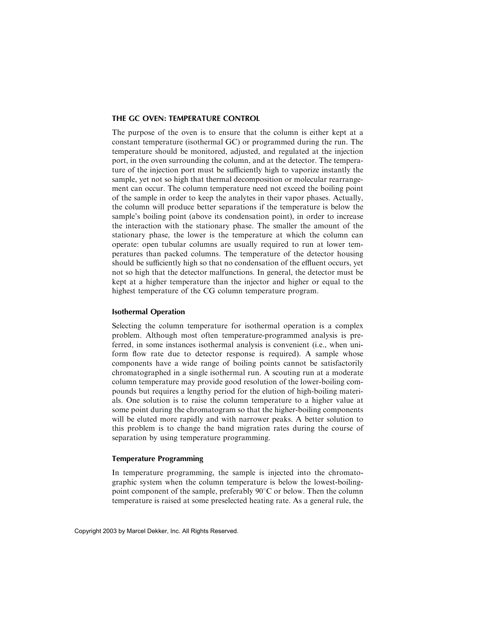# THE GC OVEN: TEMPERATURE CONTROL

The purpose of the oven is to ensure that the column is either kept at a constant temperature (isothermal GC) or programmed during the run. The temperature should be monitored, adjusted, and regulated at the injection port, in the oven surrounding the column, and at the detector. The temperature of the injection port must be sufficiently high to vaporize instantly the sample, yet not so high that thermal decomposition or molecular rearrangement can occur. The column temperature need not exceed the boiling point of the sample in order to keep the analytes in their vapor phases. Actually, the column will produce better separations if the temperature is below the sample's boiling point (above its condensation point), in order to increase the interaction with the stationary phase. The smaller the amount of the stationary phase, the lower is the temperature at which the column can operate: open tubular columns are usually required to run at lower temperatures than packed columns. The temperature of the detector housing should be sufficiently high so that no condensation of the effluent occurs, yet not so high that the detector malfunctions. In general, the detector must be kept at a higher temperature than the injector and higher or equal to the highest temperature of the CG column temperature program.

## Isothermal Operation

Selecting the column temperature for isothermal operation is a complex problem. Although most often temperature-programmed analysis is preferred, in some instances isothermal analysis is convenient (i.e., when uniform flow rate due to detector response is required). A sample whose components have a wide range of boiling points cannot be satisfactorily chromatographed in a single isothermal run. A scouting run at a moderate column temperature may provide good resolution of the lower-boiling compounds but requires a lengthy period for the elution of high-boiling materials. One solution is to raise the column temperature to a higher value at some point during the chromatogram so that the higher-boiling components will be eluted more rapidly and with narrower peaks. A better solution to this problem is to change the band migration rates during the course of separation by using temperature programming.

## Temperature Programming

In temperature programming, the sample is injected into the chromatographic system when the column temperature is below the lowest-boilingpoint component of the sample, preferably  $90^{\circ}$ C or below. Then the column temperature is raised at some preselected heating rate. As a general rule, the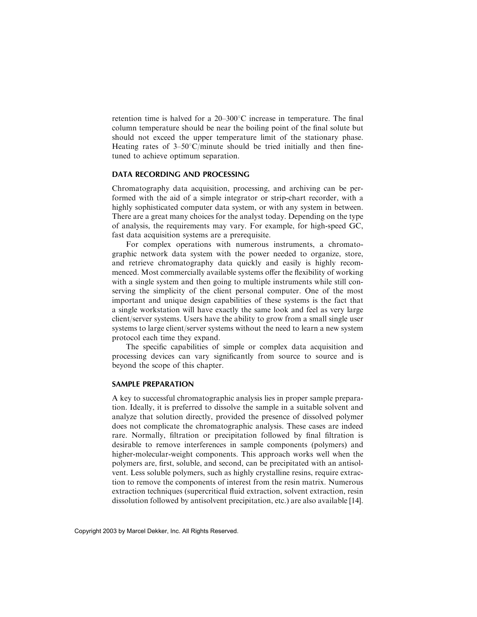retention time is halved for a  $20-300^{\circ}$ C increase in temperature. The final column temperature should be near the boiling point of the final solute but should not exceed the upper temperature limit of the stationary phase. Heating rates of  $3-50^{\circ}C/\text{minute}$  should be tried initially and then finetuned to achieve optimum separation.

#### DATA RECORDING AND PROCESSING

Chromatography data acquisition, processing, and archiving can be performed with the aid of a simple integrator or strip-chart recorder, with a highly sophisticated computer data system, or with any system in between. There are a great many choices for the analyst today. Depending on the type of analysis, the requirements may vary. For example, for high-speed GC, fast data acquisition systems are a prerequisite.

For complex operations with numerous instruments, a chromatographic network data system with the power needed to organize, store, and retrieve chromatography data quickly and easily is highly recommenced. Most commercially available systems offer the flexibility of working with a single system and then going to multiple instruments while still conserving the simplicity of the client personal computer. One of the most important and unique design capabilities of these systems is the fact that a single workstation will have exactly the same look and feel as very large client/server systems. Users have the ability to grow from a small single user systems to large client/server systems without the need to learn a new system protocol each time they expand.

The specific capabilities of simple or complex data acquisition and processing devices can vary significantly from source to source and is beyond the scope of this chapter.

#### SAMPLE PREPARATION

A key to successful chromatographic analysis lies in proper sample preparation. Ideally, it is preferred to dissolve the sample in a suitable solvent and analyze that solution directly, provided the presence of dissolved polymer does not complicate the chromatographic analysis. These cases are indeed rare. Normally, filtration or precipitation followed by final filtration is desirable to remove interferences in sample components (polymers) and higher-molecular-weight components. This approach works well when the polymers are, first, soluble, and second, can be precipitated with an antisolvent. Less soluble polymers, such as highly crystalline resins, require extraction to remove the components of interest from the resin matrix. Numerous extraction techniques (supercritical fluid extraction, solvent extraction, resin dissolution followed by antisolvent precipitation, etc.) are also available [14].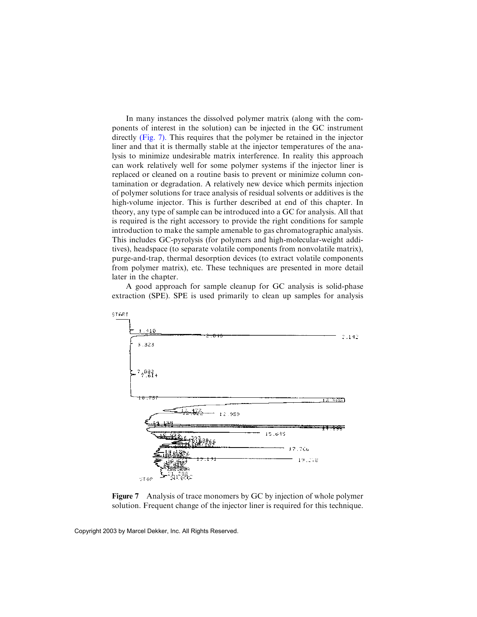In many instances the dissolved polymer matrix (along with the components of interest in the solution) can be injected in the GC instrument directly (Fig. 7). This requires that the polymer be retained in the injector liner and that it is thermally stable at the injector temperatures of the analysis to minimize undesirable matrix interference. In reality this approach can work relatively well for some polymer systems if the injector liner is replaced or cleaned on a routine basis to prevent or minimize column contamination or degradation. A relatively new device which permits injection of polymer solutions for trace analysis of residual solvents or additives is the high-volume injector. This is further described at end of this chapter. In theory, any type of sample can be introduced into a GC for analysis. All that is required is the right accessory to provide the right conditions for sample introduction to make the sample amenable to gas chromatographic analysis. This includes GC-pyrolysis (for polymers and high-molecular-weight additives), headspace (to separate volatile components from nonvolatile matrix), purge-and-trap, thermal desorption devices (to extract volatile components from polymer matrix), etc. These techniques are presented in more detail later in the chapter.

A good approach for sample cleanup for GC analysis is solid-phase extraction (SPE). SPE is used primarily to clean up samples for analysis



Figure 7 Analysis of trace monomers by GC by injection of whole polymer solution. Frequent change of the injector liner is required for this technique.

Copyright 2003 by Marcel Dekker, Inc. All Rights Reserved.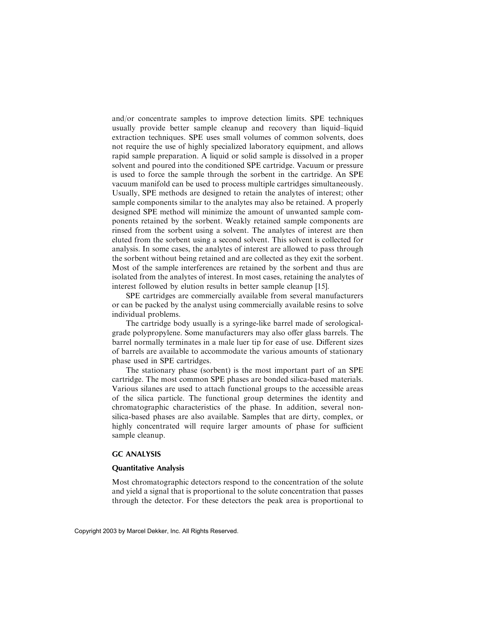and/or concentrate samples to improve detection limits. SPE techniques usually provide better sample cleanup and recovery than liquid–liquid extraction techniques. SPE uses small volumes of common solvents, does not require the use of highly specialized laboratory equipment, and allows rapid sample preparation. A liquid or solid sample is dissolved in a proper solvent and poured into the conditioned SPE cartridge. Vacuum or pressure is used to force the sample through the sorbent in the cartridge. An SPE vacuum manifold can be used to process multiple cartridges simultaneously. Usually, SPE methods are designed to retain the analytes of interest; other sample components similar to the analytes may also be retained. A properly designed SPE method will minimize the amount of unwanted sample components retained by the sorbent. Weakly retained sample components are rinsed from the sorbent using a solvent. The analytes of interest are then eluted from the sorbent using a second solvent. This solvent is collected for analysis. In some cases, the analytes of interest are allowed to pass through the sorbent without being retained and are collected as they exit the sorbent. Most of the sample interferences are retained by the sorbent and thus are isolated from the analytes of interest. In most cases, retaining the analytes of interest followed by elution results in better sample cleanup [15].

SPE cartridges are commercially available from several manufacturers or can be packed by the analyst using commercially available resins to solve individual problems.

The cartridge body usually is a syringe-like barrel made of serologicalgrade polypropylene. Some manufacturers may also offer glass barrels. The barrel normally terminates in a male luer tip for ease of use. Different sizes of barrels are available to accommodate the various amounts of stationary phase used in SPE cartridges.

The stationary phase (sorbent) is the most important part of an SPE cartridge. The most common SPE phases are bonded silica-based materials. Various silanes are used to attach functional groups to the accessible areas of the silica particle. The functional group determines the identity and chromatographic characteristics of the phase. In addition, several nonsilica-based phases are also available. Samples that are dirty, complex, or highly concentrated will require larger amounts of phase for sufficient sample cleanup.

#### GC ANALYSIS

#### Quantitative Analysis

Most chromatographic detectors respond to the concentration of the solute and yield a signal that is proportional to the solute concentration that passes through the detector. For these detectors the peak area is proportional to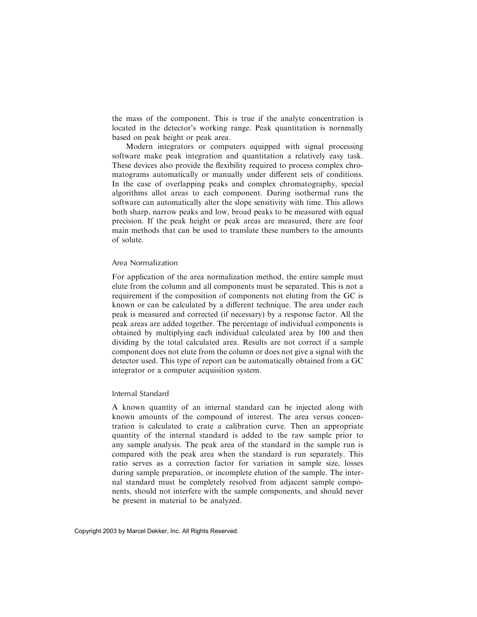the mass of the component. This is true if the analyte concentration is located in the detector's working range. Peak quantitation is nornmally based on peak height or peak area.

Modern integrators or computers equipped with signal processing software make peak integration and quantitation a relatively easy task. These devices also provide the flexibility required to process complex chromatograms automatically or manually under different sets of conditions. In the case of overlapping peaks and complex chromatography, special algorithms allot areas to each component. During isothermal runs the software can automatically alter the slope sensitivity with time. This allows both sharp, narrow peaks and low, broad peaks to be measured with equal precision. If the peak height or peak areas are measured, there are four main methods that can be used to translate these numbers to the amounts of solute.

#### Area Normalization

For application of the area normalization method, the entire sample must elute from the column and all components must be separated. This is not a requirement if the composition of components not eluting from the GC is known or can be calculated by a different technique. The area under each peak is measured and corrected (if necessary) by a response factor. All the peak areas are added together. The percentage of individual components is obtained by multiplying each individual calculated area by 100 and then dividing by the total calculated area. Results are not correct if a sample component does not elute from the column or does not give a signal with the detector used. This type of report can be automatically obtained from a GC integrator or a computer acquisition system.

#### Internal Standard

A known quantity of an internal standard can be injected along with known amounts of the compound of interest. The area versus concentration is calculated to crate a calibration curve. Then an appropriate quantity of the internal standard is added to the raw sample prior to any sample analysis. The peak area of the standard in the sample run is compared with the peak area when the standard is run separately. This ratio serves as a correction factor for variation in sample size, losses during sample preparation, or incomplete elution of the sample. The internal standard must be completely resolved from adjacent sample components, should not interfere with the sample components, and should never be present in material to be analyzed.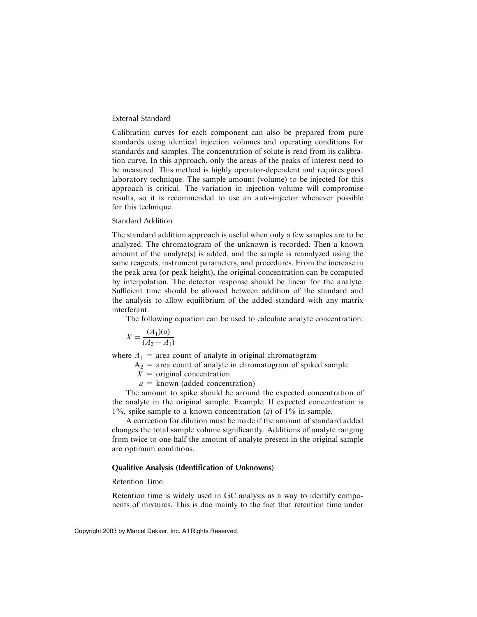## External Standard

Calibration curves for each component can also be prepared from pure standards using identical injection volumes and operating conditions for standards and samples. The concentration of solute is read from its calibration curve. In this approach, only the areas of the peaks of interest need to be measured. This method is highly operator-dependent and requires good laboratory technique. The sample amount (volume) to be injected for this approach is critical. The variation in injection volume will compromise results, so it is recommended to use an auto-injector whenever possible for this technique.

# Standard Addition

The standard addition approach is useful when only a few samples are to be analyzed. The chromatogram of the unknown is recorded. Then a known amount of the analyte(s) is added, and the sample is reanalyzed using the same reagents, instrument parameters, and procedures. From the increase in the peak area (or peak height), the original concentration can be computed by interpolation. The detector response should be linear for the analyte. Sufficient time should be allowed between addition of the standard and the analysis to allow equilibrium of the added standard with any matrix interferant.

The following equation can be used to calculate analyte concentration:

$$
X = \frac{(A_1)(a)}{(A_2 - A_1)}
$$

where  $A_1$  = area count of analyte in original chromatogram

- $A_2$  = area count of analyte in chromatogram of spiked sample
- $X =$  original concentration
- $a =$  known (added concentration)

The amount to spike should be around the expected concentration of the analyte in the original sample. Example: If expected concentration is 1%, spike sample to a known concentration (*a*) of 1% in sample.

A correction for dilution must be made if the amount of standard added changes the total sample volume significantly. Additions of analyte ranging from twice to one-half the amount of analyte present in the original sample are optimum conditions.

# Qualitive Analysis (Identification of Unknowns)

# Retention Time

Retention time is widely used in GC analysis as a way to identify components of mixtures. This is due mainly to the fact that retention time under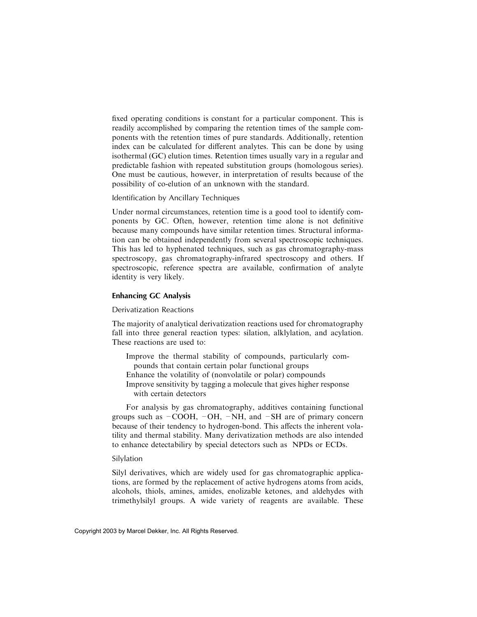fixed operating conditions is constant for a particular component. This is readily accomplished by comparing the retention times of the sample components with the retention times of pure standards. Additionally, retention index can be calculated for different analytes. This can be done by using isothermal (GC) elution times. Retention times usually vary in a regular and predictable fashion with repeated substitution groups (homologous series). One must be cautious, however, in interpretation of results because of the possibility of co-elution of an unknown with the standard.

Identification by Ancillary Techniques

Under normal circumstances, retention time is a good tool to identify components by GC. Often, however, retention time alone is not definitive because many compounds have similar retention times. Structural information can be obtained independently from several spectroscopic techniques. This has led to hyphenated techniques, such as gas chromatography-mass spectroscopy, gas chromatography-infrared spectroscopy and others. If spectroscopic, reference spectra are available, confirmation of analyte identity is very likely.

# Enhancing GC Analysis

### Derivatization Reactions

The majority of analytical derivatization reactions used for chromatography fall into three general reaction types: silation, alklylation, and acylation. These reactions are used to:

Improve the thermal stability of compounds, particularly compounds that contain certain polar functional groups Enhance the volatility of (nonvolatile or polar) compounds Improve sensitivity by tagging a molecule that gives higher response with certain detectors

For analysis by gas chromatography, additives containing functional groups such as  $-COOH$ ,  $-OH$ ,  $-NH$ , and  $-SH$  are of primary concern because of their tendency to hydrogen-bond. This affects the inherent volatility and thermal stability. Many derivatization methods are also intended to enhance detectabiliry by special detectors such as NPDs or ECDs.

## Silylation

Silyl derivatives, which are widely used for gas chromatographic applications, are formed by the replacement of active hydrogens atoms from acids, alcohols, thiols, amines, amides, enolizable ketones, and aldehydes with trimethylsilyl groups. A wide variety of reagents are available. These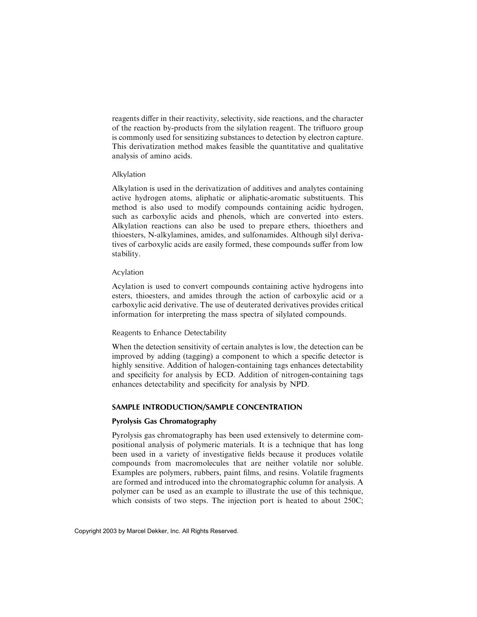reagents differ in their reactivity, selectivity, side reactions, and the character of the reaction by-products from the silylation reagent. The trifluoro group is commonly used for sensitizing substances to detection by electron capture. This derivatization method makes feasible the quantitative and qualitative analysis of amino acids.

# Alkylation

Alkylation is used in the derivatization of additives and analytes containing active hydrogen atoms, aliphatic or aliphatic-aromatic substituents. This method is also used to modify compounds containing acidic hydrogen, such as carboxylic acids and phenols, which are converted into esters. Alkylation reactions can also be used to prepare ethers, thioethers and thioesters, N-alkylamines, amides, and sulfonamides. Although silyl derivatives of carboxylic acids are easily formed, these compounds suffer from low stability.

## Acylation

Acylation is used to convert compounds containing active hydrogens into esters, thioesters, and amides through the action of carboxylic acid or a carboxylic acid derivative. The use of deuterated derivatives provides critical information for interpreting the mass spectra of silylated compounds.

## Reagents to Enhance Detectability

When the detection sensitivity of certain analytes is low, the detection can be improved by adding (tagging) a component to which a specific detector is highly sensitive. Addition of halogen-containing tags enhances detectability and specificity for analysis by ECD. Addition of nitrogen-containing tags enhances detectability and specificity for analysis by NPD.

# SAMPLE INTRODUCTION/SAMPLE CONCENTRATION

# Pyrolysis Gas Chromatography

Pyrolysis gas chromatography has been used extensively to determine compositional analysis of polymeric materials. It is a technique that has long been used in a variety of investigative fields because it produces volatile compounds from macromolecules that are neither volatile nor soluble. Examples are polymers, rubbers, paint films, and resins. Volatile fragments are formed and introduced into the chromatographic column for analysis. A polymer can be used as an example to illustrate the use of this technique, which consists of two steps. The injection port is heated to about 250C;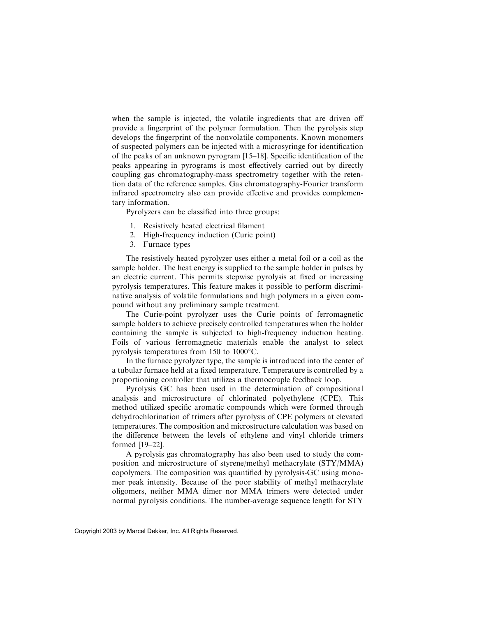when the sample is injected, the volatile ingredients that are driven off provide a fingerprint of the polymer formulation. Then the pyrolysis step develops the fingerprint of the nonvolatile components. Known monomers of suspected polymers can be injected with a microsyringe for identification of the peaks of an unknown pyrogram [15–18]. Specific identification of the peaks appearing in pyrograms is most effectively carried out by directly coupling gas chromatography-mass spectrometry together with the retention data of the reference samples. Gas chromatography-Fourier transform infrared spectrometry also can provide effective and provides complementary information.

Pyrolyzers can be classified into three groups:

- 1. Resistively heated electrical filament
- 2. High-frequency induction (Curie point)
- 3. Furnace types

The resistively heated pyrolyzer uses either a metal foil or a coil as the sample holder. The heat energy is supplied to the sample holder in pulses by an electric current. This permits stepwise pyrolysis at fixed or increasing pyrolysis temperatures. This feature makes it possible to perform discriminative analysis of volatile formulations and high polymers in a given compound without any preliminary sample treatment.

The Curie-point pyrolyzer uses the Curie points of ferromagnetic sample holders to achieve precisely controlled temperatures when the holder containing the sample is subjected to high-frequency induction heating. Foils of various ferromagnetic materials enable the analyst to select pyrolysis temperatures from  $150$  to  $1000^{\circ}$ C.

In the furnace pyrolyzer type, the sample is introduced into the center of a tubular furnace held at a fixed temperature. Temperature is controlled by a proportioning controller that utilizes a thermocouple feedback loop.

Pyrolysis GC has been used in the determination of compositional analysis and microstructure of chlorinated polyethylene (CPE). This method utilized specific aromatic compounds which were formed through dehydrochlorination of trimers after pyrolysis of CPE polymers at elevated temperatures. The composition and microstructure calculation was based on the difference between the levels of ethylene and vinyl chloride trimers formed [19–22].

A pyrolysis gas chromatography has also been used to study the composition and microstructure of styrene/methyl methacrylate (STY/MMA) copolymers. The composition was quantified by pyrolysis-GC using monomer peak intensity. Because of the poor stability of methyl methacrylate oligomers, neither MMA dimer nor MMA trimers were detected under normal pyrolysis conditions. The number-average sequence length for STY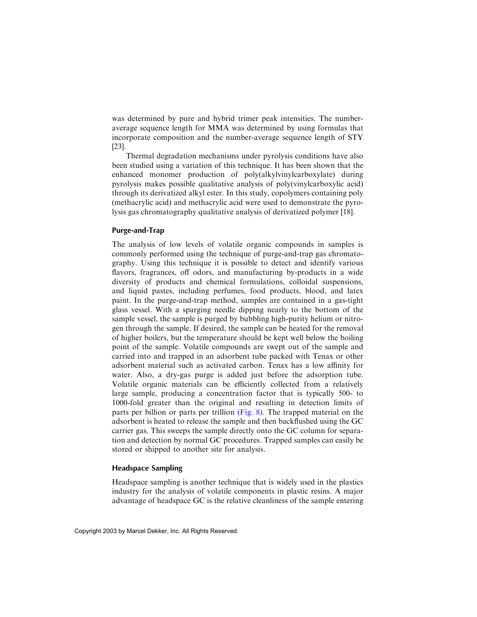was determined by pure and hybrid trimer peak intensities. The numberaverage sequence length for MMA was determined by using formulas that incorporate composition and the number-average sequence length of STY [23].

Thermal degradation mechanisms under pyrolysis conditions have also been studied using a variation of this technique. It has been shown that the enhanced monomer production of poly(alkylvinylcarboxylate) during pyrolysis makes possible qualitative analysis of poly(vinylcarboxylic acid) through its derivatized alkyl ester. In this study, copolymers containing poly (methacrylic acid) and methacrylic acid were used to demonstrate the pyrolysis gas chromatography qualitative analysis of derivatized polymer [18].

## Purge-and-Trap

The analysis of low levels of volatile organic compounds in samples is commonly performed using the technique of purge-and-trap gas chromatography. Using this technique it is possible to detect and identify various flavors, fragrances, off odors, and manufacturing by-products in a wide diversity of products and chemical formulations, colloidal suspensions, and liquid pastes, including perfumes, food products, blood, and latex paint. In the purge-and-trap method, samples are contained in a gas-tight glass vessel. With a sparging needle dipping nearly to the bottom of the sample vessel, the sample is purged by bubbling high-purity helium or nitrogen through the sample. If desired, the sample can be heated for the removal of higher boilers, but the temperature should be kept well below the boiling point of the sample. Volatile compounds are swept out of the sample and carried into and trapped in an adsorbent tube packed with Tenax or other adsorbent material such as activated carbon. Tenax has a low affinity for water. Also, a dry-gas purge is added just before the adsorption tube. Volatile organic materials can be efficiently collected from a relatively large sample, producing a concentration factor that is typically 500- to 1000-fold greater than the original and resulting in detection limits of parts per billion or parts per trillion [\(Fig. 8\).](#page-44-0) The trapped material on the adsorbent is heated to release the sample and then backflushed using the GC carrier gas. This sweeps the sample directly onto the GC column for separation and detection by normal GC procedures. Trapped samples can easily be stored or shipped to another site for analysis.

# Headspace Sampling

Headspace sampling is another technique that is widely used in the plastics industry for the analysis of volatile components in plastic resins. A major advantage of headspace GC is the relative cleanliness of the sample entering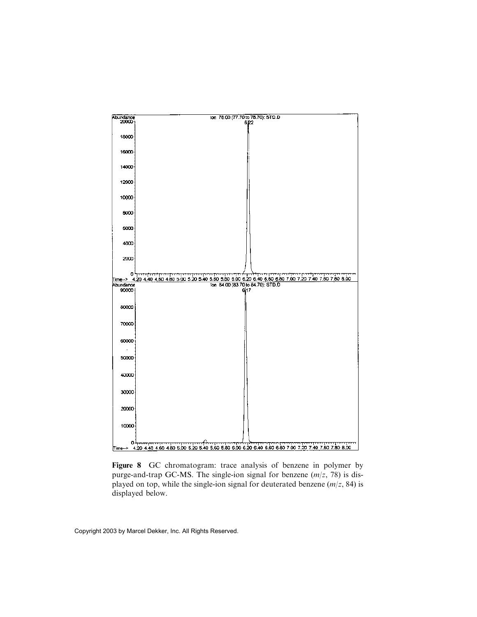<span id="page-44-0"></span>

Figure 8 GC chromatogram: trace analysis of benzene in polymer by purge-and-trap GC-MS. The single-ion signal for benzene  $(m/z, 78)$  is displayed on top, while the single-ion signal for deuterated benzene  $(m/z, 84)$  is displayed below.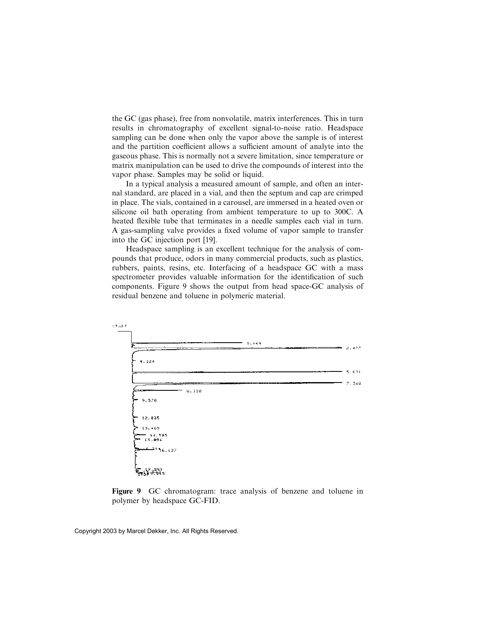the GC (gas phase), free from nonvolatile, matrix interferences. This in turn results in chromatography of excellent signal-to-noise ratio. Headspace sampling can be done when only the vapor above the sample is of interest and the partition coefficient allows a sufficient amount of analyte into the gaseous phase. This is normally not a severe limitation, since temperature or matrix manipulation can be used to drive the compounds of interest into the vapor phase. Samples may be solid or liquid.

In a typical analysis a measured amount of sample, and often an internal standard, are placed in a vial, and then the septum and cap are crimped in place. The vials, contained in a carousel, are immersed in a heated oven or silicone oil bath operating from ambient temperature to up to 300C. A heated flexible tube that terminates in a needle samples each vial in turn. A gas-sampling valve provides a fixed volume of vapor sample to transfer into the GC injection port [19].

Headspace sampling is an excellent technique for the analysis of compounds that produce, odors in many commercial products, such as plastics, rubbers, paints, resins, etc. Interfacing of a headspace GC with a mass spectrometer provides valuable information for the identification of such components. Figure 9 shows the output from head space-GC analysis of residual benzene and toluene in polymeric material.



Figure 9 GC chromatogram: trace analysis of benzene and toluene in polymer by headspace GC-FID.

Copyright 2003 by Marcel Dekker, Inc. All Rights Reserved.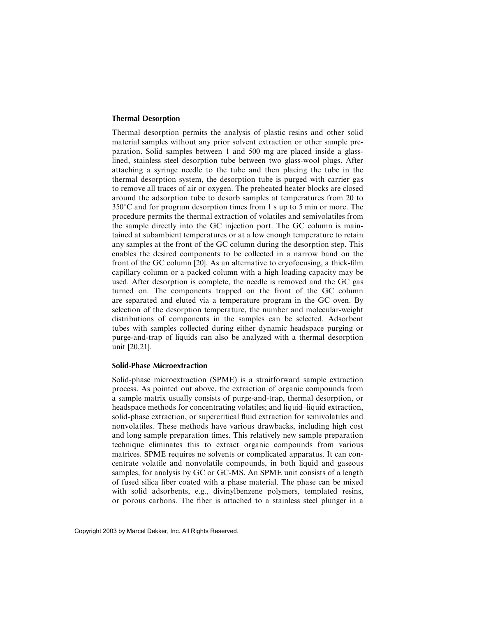# Thermal Desorption

Thermal desorption permits the analysis of plastic resins and other solid material samples without any prior solvent extraction or other sample preparation. Solid samples between 1 and 500 mg are placed inside a glasslined, stainless steel desorption tube between two glass-wool plugs. After attaching a syringe needle to the tube and then placing the tube in the thermal desorption system, the desorption tube is purged with carrier gas to remove all traces of air or oxygen. The preheated heater blocks are closed around the adsorption tube to desorb samples at temperatures from 20 to  $350^{\circ}$ C and for program desorption times from 1 s up to 5 min or more. The procedure permits the thermal extraction of volatiles and semivolatiles from the sample directly into the GC injection port. The GC column is maintained at subambient temperatures or at a low enough temperature to retain any samples at the front of the GC column during the desorption step. This enables the desired components to be collected in a narrow band on the front of the GC column [20]. As an alternative to cryofocusing, a thick-film capillary column or a packed column with a high loading capacity may be used. After desorption is complete, the needle is removed and the GC gas turned on. The components trapped on the front of the GC column are separated and eluted via a temperature program in the GC oven. By selection of the desorption temperature, the number and molecular-weight distributions of components in the samples can be selected. Adsorbent tubes with samples collected during either dynamic headspace purging or purge-and-trap of liquids can also be analyzed with a thermal desorption unit [20,21].

## Solid-Phase Microextraction

Solid-phase microextraction (SPME) is a straitforward sample extraction process. As pointed out above, the extraction of organic compounds from a sample matrix usually consists of purge-and-trap, thermal desorption, or headspace methods for concentrating volatiles; and liquid–liquid extraction, solid-phase extraction, or supercritical fluid extraction for semivolatiles and nonvolatiles. These methods have various drawbacks, including high cost and long sample preparation times. This relatively new sample preparation technique eliminates this to extract organic compounds from various matrices. SPME requires no solvents or complicated apparatus. It can concentrate volatile and nonvolatile compounds, in both liquid and gaseous samples, for analysis by GC or GC-MS. An SPME unit consists of a length of fused silica fiber coated with a phase material. The phase can be mixed with solid adsorbents, e.g., divinylbenzene polymers, templated resins, or porous carbons. The fiber is attached to a stainless steel plunger in a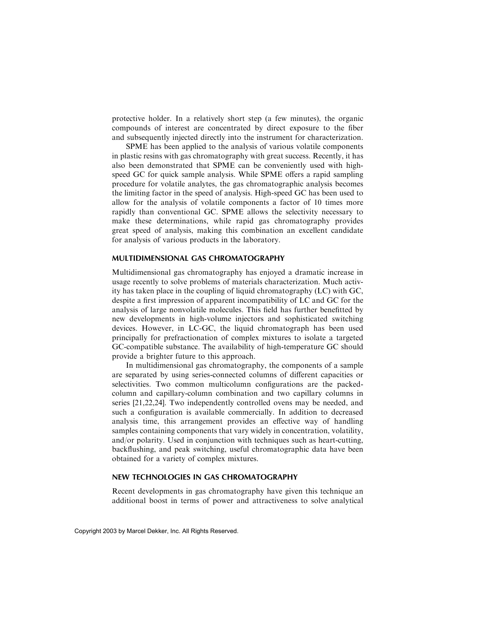protective holder. In a relatively short step (a few minutes), the organic compounds of interest are concentrated by direct exposure to the fiber and subsequently injected directly into the instrument for characterization.

SPME has been applied to the analysis of various volatile components in plastic resins with gas chromatography with great success. Recently, it has also been demonstrated that SPME can be conveniently used with highspeed GC for quick sample analysis. While SPME offers a rapid sampling procedure for volatile analytes, the gas chromatographic analysis becomes the limiting factor in the speed of analysis. High-speed GC has been used to allow for the analysis of volatile components a factor of 10 times more rapidly than conventional GC. SPME allows the selectivity necessary to make these determinations, while rapid gas chromatography provides great speed of analysis, making this combination an excellent candidate for analysis of various products in the laboratory.

#### MULTIDIMENSIONAL GAS CHROMATOGRAPHY

Multidimensional gas chromatography has enjoyed a dramatic increase in usage recently to solve problems of materials characterization. Much activity has taken place in the coupling of liquid chromatography (LC) with GC, despite a first impression of apparent incompatibility of LC and GC for the analysis of large nonvolatile molecules. This field has further benefitted by new developments in high-volume injectors and sophisticated switching devices. However, in LC-GC, the liquid chromatograph has been used principally for prefractionation of complex mixtures to isolate a targeted GC-compatible substance. The availability of high-temperature GC should provide a brighter future to this approach.

In multidimensional gas chromatography, the components of a sample are separated by using series-connected columns of different capacities or selectivities. Two common multicolumn configurations are the packedcolumn and capillary-column combination and two capillary columns in series [21,22,24]. Two independently controlled ovens may be needed, and such a configuration is available commercially. In addition to decreased analysis time, this arrangement provides an effective way of handling samples containing components that vary widely in concentration, volatility, and/or polarity. Used in conjunction with techniques such as heart-cutting, backflushing, and peak switching, useful chromatographic data have been obtained for a variety of complex mixtures.

#### NEW TECHNOLOGIES IN GAS CHROMATOGRAPHY

Recent developments in gas chromatography have given this technique an additional boost in terms of power and attractiveness to solve analytical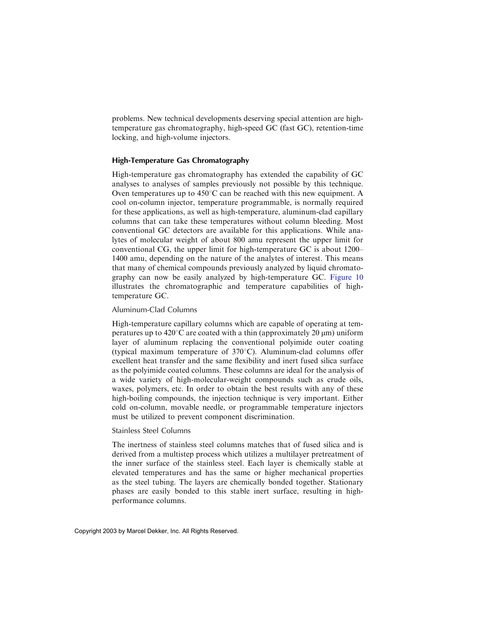problems. New technical developments deserving special attention are hightemperature gas chromatography, high-speed GC (fast GC), retention-time locking, and high-volume injectors.

# High-Temperature Gas Chromatography

High-temperature gas chromatography has extended the capability of GC analyses to analyses of samples previously not possible by this technique. Oven temperatures up to  $450^{\circ}$ C can be reached with this new equipment. A cool on-column injector, temperature programmable, is normally required for these applications, as well as high-temperature, aluminum-clad capillary columns that can take these temperatures without column bleeding. Most conventional GC detectors are available for this applications. While analytes of molecular weight of about 800 amu represent the upper limit for conventional CG, the upper limit for high-temperature GC is about 1200– 1400 amu, depending on the nature of the analytes of interest. This means that many of chemical compounds previously analyzed by liquid chromatography can now be easily analyzed by high-temperature GC. [Figure 10](#page-49-0) illustrates the chromatographic and temperature capabilities of hightemperature GC.

Aluminum-Clad Columns

High-temperature capillary columns which are capable of operating at temperatures up to  $420^{\circ}$ C are coated with a thin (approximately 20  $\mu$ m) uniform layer of aluminum replacing the conventional polyimide outer coating (typical maximum temperature of  $370^{\circ}$ C). Aluminum-clad columns offer excellent heat transfer and the same flexibility and inert fused silica surface as the polyimide coated columns. These columns are ideal for the analysis of a wide variety of high-molecular-weight compounds such as crude oils, waxes, polymers, etc. In order to obtain the best results with any of these high-boiling compounds, the injection technique is very important. Either cold on-column, movable needle, or programmable temperature injectors must be utilized to prevent component discrimination.

## Stainless Steel Columns

The inertness of stainless steel columns matches that of fused silica and is derived from a multistep process which utilizes a multilayer pretreatment of the inner surface of the stainless steel. Each layer is chemically stable at elevated temperatures and has the same or higher mechanical properties as the steel tubing. The layers are chemically bonded together. Stationary phases are easily bonded to this stable inert surface, resulting in highperformance columns.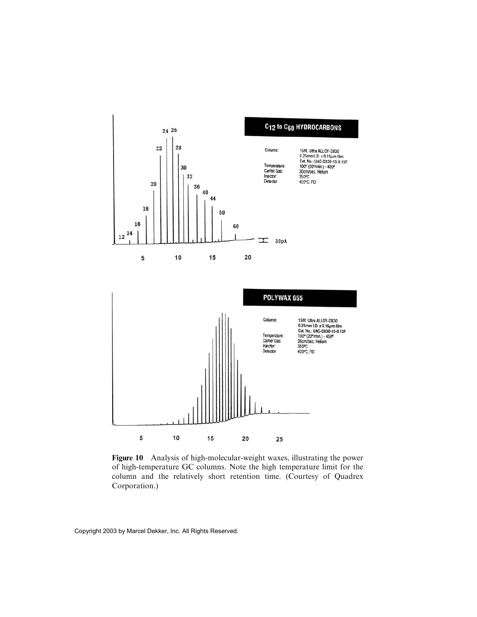<span id="page-49-0"></span>

Figure 10 Analysis of high-molecular-weight waxes, illustrating the power of high-temperature GC columns. Note the high temperature limit for the column and the relatively short retention time. (Courtesy of Quadrex Corporation.)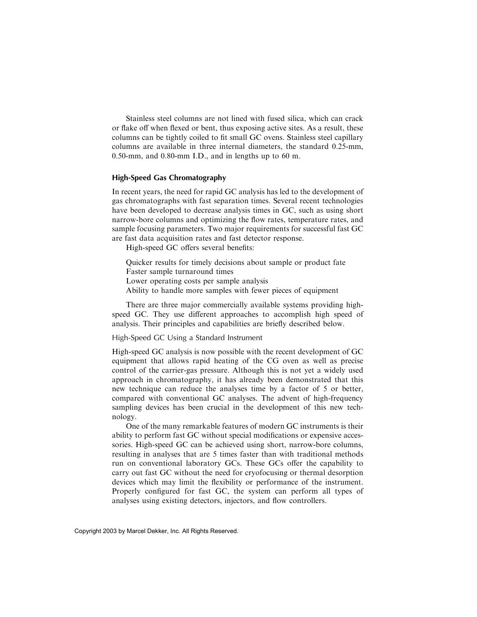Stainless steel columns are not lined with fused silica, which can crack or flake off when flexed or bent, thus exposing active sites. As a result, these columns can be tightly coiled to fit small GC ovens. Stainless steel capillary columns are available in three internal diameters, the standard 0.25-mm, 0.50-mm, and 0.80-mm I.D., and in lengths up to 60 m.

#### High-Speed Gas Chromatography

In recent years, the need for rapid GC analysis has led to the development of gas chromatographs with fast separation times. Several recent technologies have been developed to decrease analysis times in GC, such as using short narrow-bore columns and optimizing the flow rates, temperature rates, and sample focusing parameters. Two major requirements for successful fast GC are fast data acquisition rates and fast detector response.

High-speed GC offers several benefits:

Quicker results for timely decisions about sample or product fate Faster sample turnaround times Lower operating costs per sample analysis Ability to handle more samples with fewer pieces of equipment

There are three major commercially available systems providing highspeed GC. They use different approaches to accomplish high speed of analysis. Their principles and capabilities are briefly described below.

High-Speed GC Using a Standard Instrument

High-speed GC analysis is now possible with the recent development of GC equipment that allows rapid heating of the CG oven as well as precise control of the carrier-gas pressure. Although this is not yet a widely used approach in chromatography, it has already been demonstrated that this new technique can reduce the analyses time by a factor of 5 or better, compared with conventional GC analyses. The advent of high-frequency sampling devices has been crucial in the development of this new technology.

One of the many remarkable features of modern GC instruments is their ability to perform fast GC without special modifications or expensive accessories. High-speed GC can be achieved using short, narrow-bore columns, resulting in analyses that are 5 times faster than with traditional methods run on conventional laboratory GCs. These GCs offer the capability to carry out fast GC without the need for cryofocusing or thermal desorption devices which may limit the flexibility or performance of the instrument. Properly configured for fast GC, the system can perform all types of analyses using existing detectors, injectors, and flow controllers.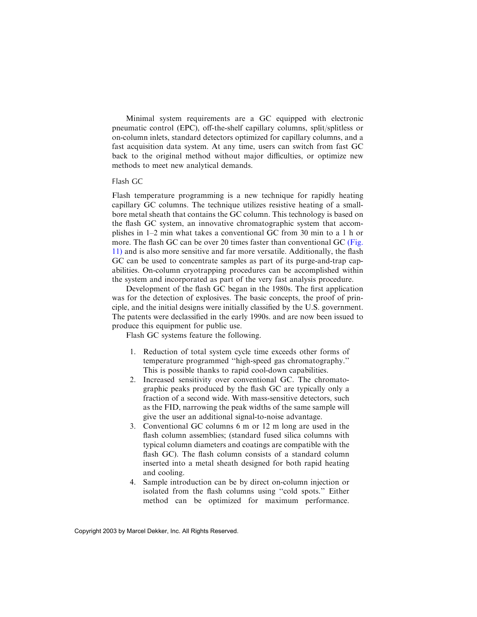Minimal system requirements are a GC equipped with electronic pneumatic control (EPC), off-the-shelf capillary columns, split/splitless or on-column inlets, standard detectors optimized for capillary columns, and a fast acquisition data system. At any time, users can switch from fast GC back to the original method without major difficulties, or optimize new methods to meet new analytical demands.

#### Flash GC

Flash temperature programming is a new technique for rapidly heating capillary GC columns. The technique utilizes resistive heating of a smallbore metal sheath that contains the GC column. This technology is based on the flash GC system, an innovative chromatographic system that accomplishes in 1–2 min what takes a conventional GC from 30 min to a 1 h or more. The flash GC can be over 20 times faster than conventional GC [\(Fig.](#page-52-0) [11\)](#page-52-0) and is also more sensitive and far more versatile. Additionally, the flash GC can be used to concentrate samples as part of its purge-and-trap capabilities. On-column cryotrapping procedures can be accomplished within the system and incorporated as part of the very fast analysis procedure.

Development of the flash GC began in the 1980s. The first application was for the detection of explosives. The basic concepts, the proof of principle, and the initial designs were initially classified by the U.S. government. The patents were declassified in the early 1990s. and are now been issued to produce this equipment for public use.

Flash GC systems feature the following.

- 1. Reduction of total system cycle time exceeds other forms of temperature programmed ''high-speed gas chromatography.'' This is possible thanks to rapid cool-down capabilities.
- 2. Increased sensitivity over conventional GC. The chromatographic peaks produced by the flash GC are typically only a fraction of a second wide. With mass-sensitive detectors, such as the FID, narrowing the peak widths of the same sample will give the user an additional signal-to-noise advantage.
- 3. Conventional GC columns 6 m or 12 m long are used in the flash column assemblies; (standard fused silica columns with typical column diameters and coatings are compatible with the flash GC). The flash column consists of a standard column inserted into a metal sheath designed for both rapid heating and cooling.
- 4. Sample introduction can be by direct on-column injection or isolated from the flash columns using ''cold spots.'' Either method can be optimized for maximum performance.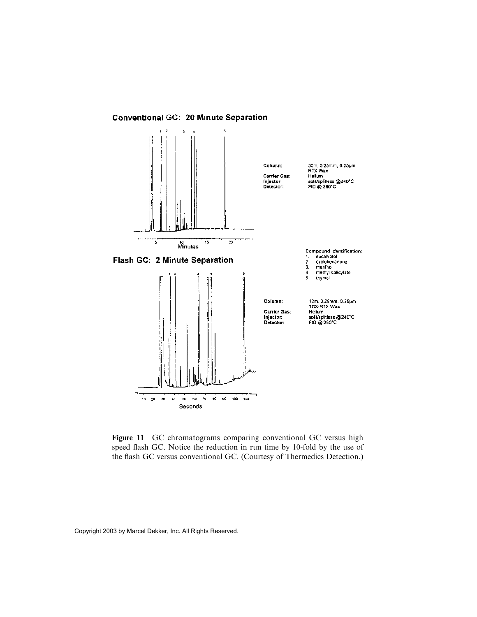# <span id="page-52-0"></span>**Conventional GC: 20 Minute Separation**



Figure 11 GC chromatograms comparing conventional GC versus high speed flash GC. Notice the reduction in run time by 10-fold by the use of the flash GC versus conventional GC. (Courtesy of Thermedics Detection.)

Copyright 2003 by Marcel Dekker, Inc. All Rights Reserved.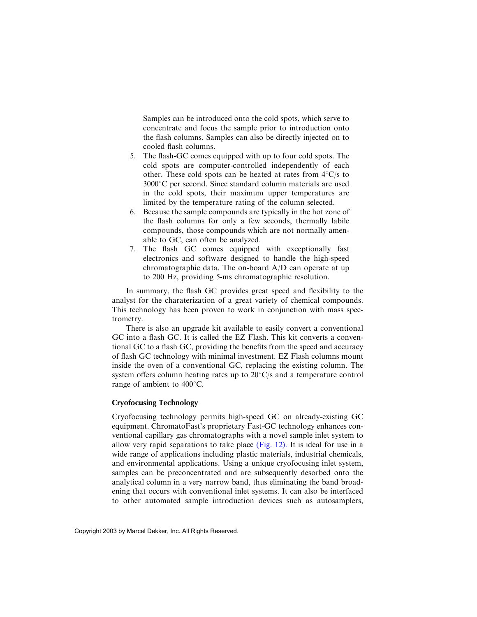Samples can be introduced onto the cold spots, which serve to concentrate and focus the sample prior to introduction onto the flash columns. Samples can also be directly injected on to cooled flash columns.

- 5. The flash-GC comes equipped with up to four cold spots. The cold spots are computer-controlled independently of each other. These cold spots can be heated at rates from  $4^{\circ}C/s$  to  $3000^{\circ}$ C per second. Since standard column materials are used in the cold spots, their maximum upper temperatures are limited by the temperature rating of the column selected.
- 6. Because the sample compounds are typically in the hot zone of the flash columns for only a few seconds, thermally labile compounds, those compounds which are not normally amenable to GC, can often be analyzed.
- 7. The flash GC comes equipped with exceptionally fast electronics and software designed to handle the high-speed chromatographic data. The on-board A/D can operate at up to 200 Hz, providing 5-ms chromatographic resolution.

In summary, the flash GC provides great speed and flexibility to the analyst for the charaterization of a great variety of chemical compounds. This technology has been proven to work in conjunction with mass spectrometry.

There is also an upgrade kit available to easily convert a conventional GC into a flash GC. It is called the EZ Flash. This kit converts a conventional GC to a flash GC, providing the benefits from the speed and accuracy of flash GC technology with minimal investment. EZ Flash columns mount inside the oven of a conventional GC, replacing the existing column. The system offers column heating rates up to  $20^{\circ}C/s$  and a temperature control range of ambient to  $400^{\circ}$ C.

## Cryofocusing Technology

Cryofocusing technology permits high-speed GC on already-existing GC equipment. ChromatoFast's proprietary Fast-GC technology enhances conventional capillary gas chromatographs with a novel sample inlet system to allow very rapid separations to take place [\(Fig. 12\)](#page-54-0). It is ideal for use in a wide range of applications including plastic materials, industrial chemicals, and environmental applications. Using a unique cryofocusing inlet system, samples can be preconcentrated and are subsequently desorbed onto the analytical column in a very narrow band, thus eliminating the band broadening that occurs with conventional inlet systems. It can also be interfaced to other automated sample introduction devices such as autosamplers,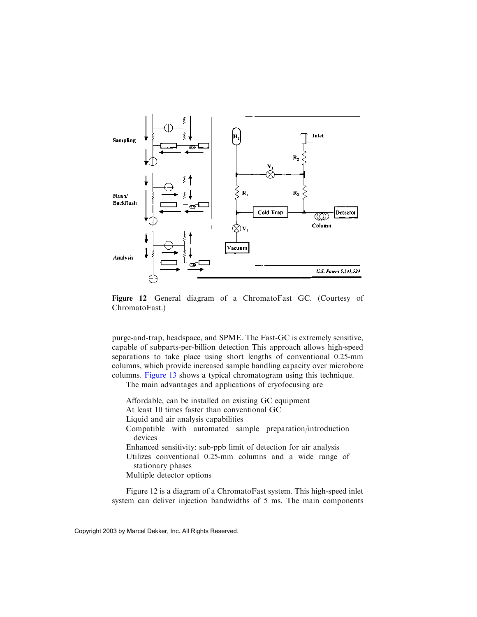<span id="page-54-0"></span>

Figure 12 General diagram of a ChromatoFast GC. (Courtesy of ChromatoFast.)

purge-and-trap, headspace, and SPME. The Fast-GC is extremely sensitive, capable of subparts-per-billion detection This approach allows high-speed separations to take place using short lengths of conventional 0.25-mm columns, which provide increased sample handling capacity over microbore columns. [Figure 13](#page-55-0) shows a typical chromatogram using this technique.

The main advantages and applications of cryofocusing are

Affordable, can be installed on existing GC equipment At least 10 times faster than conventional GC Liquid and air analysis capabilities Compatible with automated sample preparation/introduction devices Enhanced sensitivity: sub-ppb limit of detection for air analysis Utilizes conventional 0.25-mm columns and a wide range of stationary phases Multiple detector options

Figure 12 is a diagram of a ChromatoFast system. This high-speed inlet system can deliver injection bandwidths of 5 ms. The main components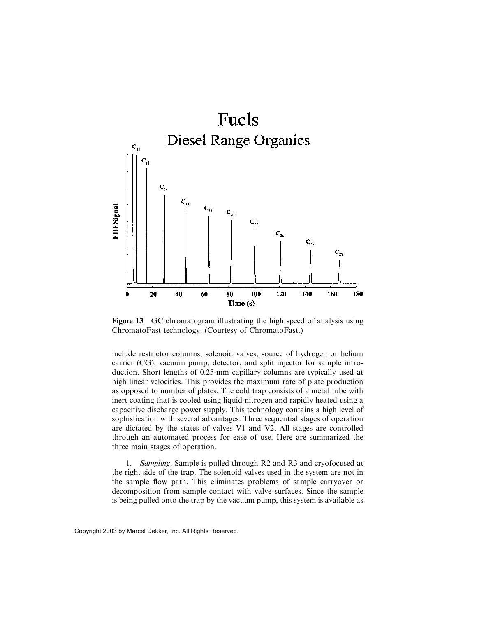<span id="page-55-0"></span>

Figure 13 GC chromatogram illustrating the high speed of analysis using ChromatoFast technology. (Courtesy of ChromatoFast.)

include restrictor columns, solenoid valves, source of hydrogen or helium carrier (CG), vacuum pump, detector, and split injector for sample introduction. Short lengths of 0.25-mm capillary columns are typically used at high linear velocities. This provides the maximum rate of plate production as opposed to number of plates. The cold trap consists of a metal tube with inert coating that is cooled using liquid nitrogen and rapidly heated using a capacitive discharge power supply. This technology contains a high level of sophistication with several advantages. Three sequential stages of operation are dictated by the states of valves V1 and V2. All stages are controlled through an automated process for ease of use. Here are summarized the three main stages of operation.

1. Sampling. Sample is pulled through R2 and R3 and cryofocused at the right side of the trap. The solenoid valves used in the system are not in the sample flow path. This eliminates problems of sample carryover or decomposition from sample contact with valve surfaces. Since the sample is being pulled onto the trap by the vacuum pump, this system is available as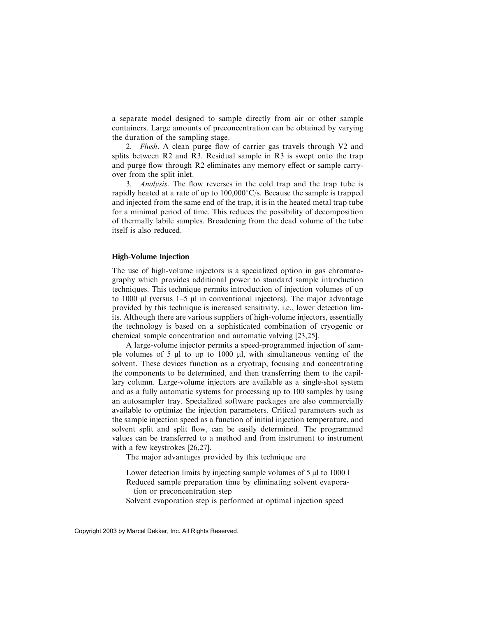a separate model designed to sample directly from air or other sample containers. Large amounts of preconcentration can be obtained by varying the duration of the sampling stage.

2. Flush. A clean purge flow of carrier gas travels through V2 and splits between R2 and R3. Residual sample in R3 is swept onto the trap and purge flow through R2 eliminates any memory effect or sample carryover from the split inlet.

3. Analysis. The flow reverses in the cold trap and the trap tube is rapidly heated at a rate of up to  $100,000^{\circ}$ C/s. Because the sample is trapped and injected from the same end of the trap, it is in the heated metal trap tube for a minimal period of time. This reduces the possibility of decomposition of thermally labile samples. Broadening from the dead volume of the tube itself is also reduced.

#### High-Volume Injection

The use of high-volume injectors is a specialized option in gas chromatography which provides additional power to standard sample introduction techniques. This technique permits introduction of injection volumes of up to 1000  $\mu$  (versus 1–5  $\mu$  in conventional injectors). The major advantage provided by this technique is increased sensitivity, i.e., lower detection limits. Although there are various suppliers of high-volume injectors, essentially the technology is based on a sophisticated combination of cryogenic or chemical sample concentration and automatic valving [23,25].

A large-volume injector permits a speed-programmed injection of sample volumes of 5  $\mu$ l to up to 1000  $\mu$ , with simultaneous venting of the solvent. These devices function as a cryotrap, focusing and concentrating the components to be determined, and then transferring them to the capillary column. Large-volume injectors are available as a single-shot system and as a fully automatic systems for processing up to 100 samples by using an autosampler tray. Specialized software packages are also commercially available to optimize the injection parameters. Critical parameters such as the sample injection speed as a function of initial injection temperature, and solvent split and split flow, can be easily determined. The programmed values can be transferred to a method and from instrument to instrument with a few keystrokes [26,27].

The major advantages provided by this technique are

Lower detection limits by injecting sample volumes of 5 µl to 1000 l Reduced sample preparation time by eliminating solvent evaporation or preconcentration step

Solvent evaporation step is performed at optimal injection speed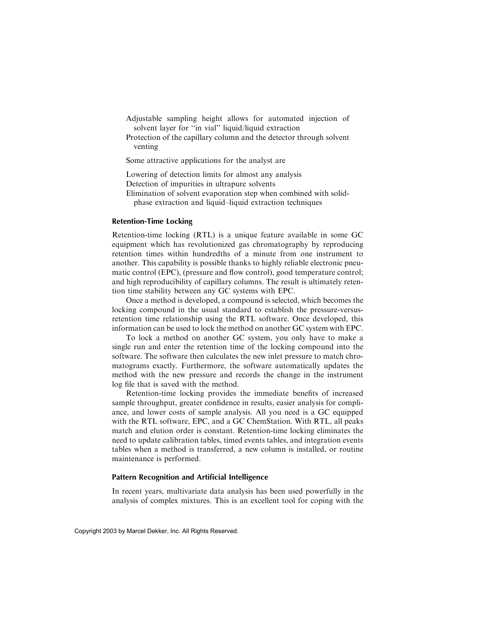- Adjustable sampling height allows for automated injection of solvent layer for ''in vial'' liquid/liquid extraction
- Protection of the capillary column and the detector through solvent venting

Some attractive applications for the analyst are

Lowering of detection limits for almost any analysis

Detection of impurities in ultrapure solvents

Elimination of solvent evaporation step when combined with solidphase extraction and liquid–liquid extraction techniques

#### Retention-Time Locking

Retention-time locking (RTL) is a unique feature available in some GC equipment which has revolutionized gas chromatography by reproducing retention times within hundredths of a minute from one instrument to another. This capability is possible thanks to highly reliable electronic pneumatic control (EPC), (pressure and flow control), good temperature control; and high reproducibility of capillary columns. The result is ultimately retention time stability between any GC systems with EPC.

Once a method is developed, a compound is selected, which becomes the locking compound in the usual standard to establish the pressure-versusretention time relationship using the RTL software. Once developed, this information can be used to lock the method on another GC system with EPC.

To lock a method on another GC system, you only have to make a single run and enter the retention time of the locking compound into the software. The software then calculates the new inlet pressure to match chromatograms exactly. Furthermore, the software automatically updates the method with the new pressure and records the change in the instrument log file that is saved with the method.

Retention-time locking provides the immediate benefits of increased sample throughput, greater confidence in results, easier analysis for compliance, and lower costs of sample analysis. All you need is a GC equipped with the RTL software, EPC, and a GC ChemStation. With RTL, all peaks match and elution order is constant. Retention-time locking eliminates the need to update calibration tables, timed events tables, and integration events tables when a method is transferred, a new column is installed, or routine maintenance is performed.

#### Pattern Recognition and Artificial Intelligence

In recent years, multivariate data analysis has been used powerfully in the analysis of complex mixtures. This is an excellent tool for coping with the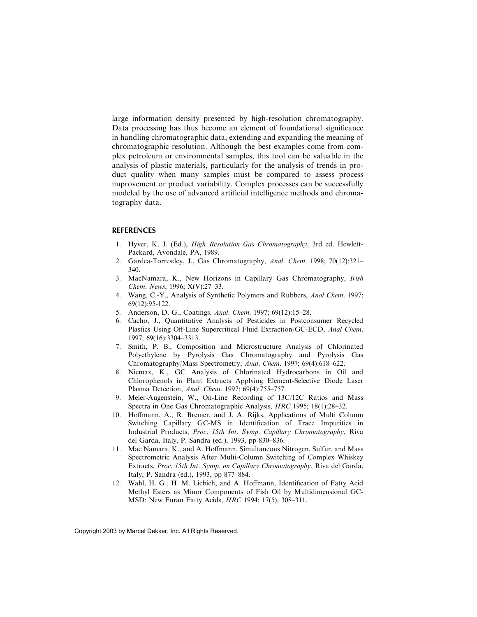large information density presented by high-resolution chromatography. Data processing has thus become an element of foundational significance in handling chromatographic data, extending and expanding the meaning of chromatographic resolution. Although the best examples come from complex petroleum or environmental samples, this tool can be valuable in the analysis of plastic materials, particularly for the analysis of trends in product quality when many samples must be compared to assess process improvement or product variability. Complex processes can be successfully modeled by the use of advanced artificial intelligence methods and chromatography data.

#### REFERENCES

- 1. Hyver, K. J. (Ed.), High Resolution Gas Chromatography, 3rd ed. Hewlett-Packard, Avondale, PA, 1989.
- 2. Gardea-Torresdey, J., Gas Chromatography, Anal. Chem. 1998; 70(12):321– 340.
- 3. MacNamara, K., New Horizons in Capillary Gas Chromatography, Irish Chem. News, 1996; X(V):27–33.
- 4. Wang, C.-Y., Analysis of Synthetic Polymers and Rubbers, Anal Chem. 1997; 69(12):95-122.
- 5. Anderson, D. G., Coatings, Anal. Chem. 1997; 69(12):15–28.
- 6. Cacho, J., Quantitative Analysis of Pesticides in Postconsumer Recycled Plastics Using Off-Line Supercritical Fluid Extraction/GC-ECD, Anal Chem. 1997; 69(16):3304–3313.
- 7. Smith, P. B., Composition and Microstructure Analysis of Chlorinated Polyethylene by Pyrolysis Gas Chromatography and Pyrolysis Gas Chromatography/Mass Spectrometry, Anal. Chem. 1997; 69(4):618–622.
- 8. Niemax, K., GC Analysis of Chlorinated Hydrocarbons in Oil and Chlorophenols in Plant Extracts Applying Element-Selective Diode Laser Plasma Detection, Anal. Chem. 1997; 69(4):755–757.
- 9. Meier-Augenstein, W., On-Line Recording of 13C/12C Ratios and Mass Spectra in One Gas Chromatographic Analysis, HRC 1995; 18(1):28–32.
- 10. Hoffmann, A., R. Bremer, and J. A. Rijks, Applications of Multi Column Switching Capillary GC-MS in Identification of Trace Impurities in Industrial Products, Proc. 15th Int. Symp. Capillary Chromatography, Riva del Garda, Italy, P. Sandra (ed.), 1993, pp 830–836.
- 11. Mac Namara, K., and A. Hoffmann, Simultaneous Nitrogen, Sulfur, and Mass Spectrometric Analysis After Multi-Column Switching of Complex Whiskey Extracts, Proc. 15th Int. Symp. on Capillary Chromatography, Riva del Garda, Italy, P. Sandra (ed.), 1993, pp 877–884.
- 12. Wahl, H. G., H. M. Liebich, and A. Hoffmann, Identification of Fatty Acid Methyl Esters as Minor Components of Fish Oil by Multidimensional GC-MSD: New Furan Fatty Acids, HRC 1994; 17(5), 308–311.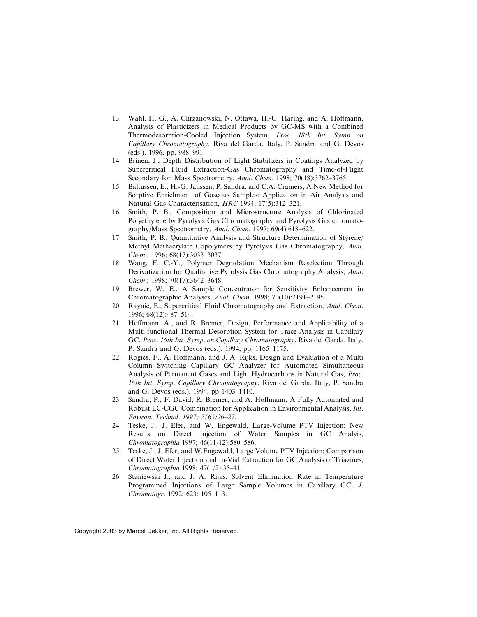- 13. Wahl, H. G., A. Chrzanowski, N. Ottawa, H.-U. Häring, and A. Hoffmann, Analysis of Plasticizers in Medical Products by GC-MS with a Combined Thermodesorption-Cooled Injection System, Proc. 18th Int. Symp on Capillary Chromatography, Riva del Garda, Italy, P. Sandra and G. Devos (eds.), 1996, pp. 988–991.
- 14. Brinen, J., Depth Distribution of Light Stabilizers in Coatings Analyzed by Supercritical Fluid Extraction-Gas Chromatography and Time-of-Flight Secondary Ion Mass Spectrometry, Anal. Chem. 1998; 70(18):3762-3765.
- 15. Baltussen, E., H.-G. Janssen, P. Sandra, and C.A. Cramers, A New Method for Sorptive Enrichment of Gaseous Samples: Application in Air Analysis and Natural Gas Characterisation, HRC 1994; 17(5):312–321.
- 16. Smith, P. B., Composition and Microstructure Analysis of Chlorinated Polyethylene by Pyrolysis Gas Chromatography and Pyrolysis Gas chromatography/Mass Spectrometry, Anal. Chem. 1997; 69(4):618–622.
- 17. Smith, P. B., Quantitative Analysis and Structure Determination of Styrene/ Methyl Methacrylate Copolymers by Pyrolysis Gas Chromatography, Anal. Chem.; 1996; 68(17):3033–3037.
- 18. Wang, F. C.-Y., Polymer Degradation Mechanism Reselection Through Derivatization for Qualitative Pyrolysis Gas Chromatography Analysis, Anal. Chem.; 1998; 70(17):3642–3648.
- 19. Brewer, W. E., A Sample Concentrator for Sensitivity Enhancement in Chromatographic Analyses, Anal. Chem. 1998; 70(10):2191–2195.
- 20. Raynie, E., Supercritical Fluid Chromatography and Extraction, *Anal. Chem.* 1996; 68(12):487–514.
- 21. Hoffmann, A., and R. Bremer, Design, Performance and Applicability of a Multi-functional Thermal Desorption System for Trace Analysis in Capillary GC, Proc. 16th Int. Symp. on Capillary Chromatography, Riva del Garda, Italy, P. Sandra and G. Devos (eds.), 1994, pp. 1165–1175.
- 22. Rogies, F., A. Hoffmann, and J. A. Rijks, Design and Evaluation of a Multi Column Switching Capillary GC Analyzer for Automated Simultaneous Analysis of Permanent Gases and Light Hydrocarbons in Natural Gas, Proc. 16th Int. Symp. Capillary Chromatography, Riva del Garda, Italy, P. Sandra and G. Devos (eds.), 1994, pp 1403–1410.
- 23. Sandra, P., F. David, R. Bremer, and A. Hoffmann, A Fully Automated and Robust LC-CGC Combination for Application in Environmental Analysis, Int. Environ. Technol. 1997; 7(6):26–27.
- 24. Teske, J., J. Efer, and W. Engewald, Large-Volume PTV Injection: New Results on Direct Injection of Water Samples in GC Analyis, Chromatographia 1997; 46(11/12):580–586.
- 25. Teske, J., J. Efer, and W.Engewald, Large Volume PTV Injection: Comparison of Direct Water Injection and In-Vial Extraction for GC Analysis of Triazines, Chromatographia 1998; 47(1/2):35–41.
- 26. Staniewski J., and J. A. Rijks, Solvent Elimination Rate in Temperature Programmed Injections of Large Sample Volumes in Capillary GC, J. Chromatogr. 1992; 623: 105–113.